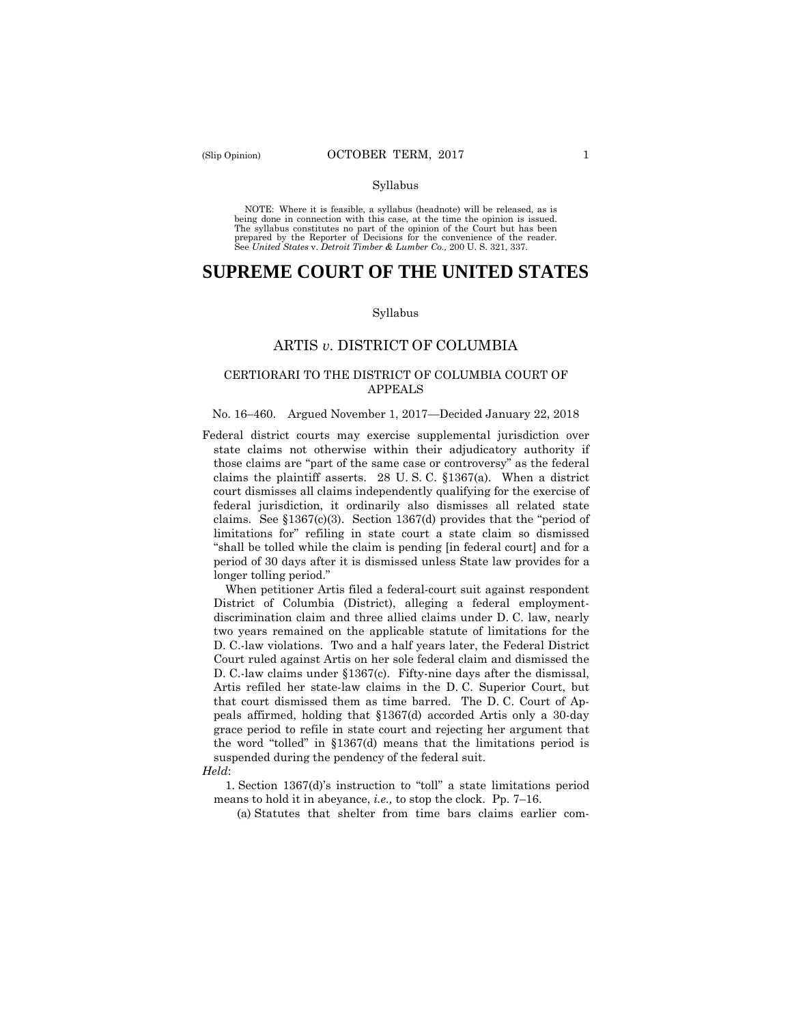#### Syllabus

 NOTE: Where it is feasible, a syllabus (headnote) will be released, as is being done in connection with this case, at the time the opinion is issued. The syllabus constitutes no part of the opinion of the Court but has been<br>prepared by the Reporter of Decisions for the convenience of the reader.<br>See United States v. Detroit Timber & Lumber Co., 200 U. S. 321, 337.

# **SUPREME COURT OF THE UNITED STATES**

#### Syllabus

# ARTIS *v*. DISTRICT OF COLUMBIA

## CERTIORARI TO THE DISTRICT OF COLUMBIA COURT OF APPEALS

#### No. 16–460. Argued November 1, 2017—Decided January 22, 2018

Federal district courts may exercise supplemental jurisdiction over state claims not otherwise within their adjudicatory authority if those claims are "part of the same case or controversy" as the federal claims the plaintiff asserts. 28 U. S. C. §1367(a). When a district court dismisses all claims independently qualifying for the exercise of federal jurisdiction, it ordinarily also dismisses all related state claims. See §1367(c)(3). Section 1367(d) provides that the "period of limitations for" refiling in state court a state claim so dismissed "shall be tolled while the claim is pending [in federal court] and for a period of 30 days after it is dismissed unless State law provides for a longer tolling period."

When petitioner Artis filed a federal-court suit against respondent District of Columbia (District), alleging a federal employmentdiscrimination claim and three allied claims under D. C. law, nearly two years remained on the applicable statute of limitations for the D. C.-law violations. Two and a half years later, the Federal District Court ruled against Artis on her sole federal claim and dismissed the D. C.-law claims under §1367(c). Fifty-nine days after the dismissal, Artis refiled her state-law claims in the D. C. Superior Court, but that court dismissed them as time barred. The D. C. Court of Appeals affirmed, holding that §1367(d) accorded Artis only a 30-day grace period to refile in state court and rejecting her argument that the word "tolled" in §1367(d) means that the limitations period is suspended during the pendency of the federal suit.

*Held*:

1. Section 1367(d)'s instruction to "toll" a state limitations period means to hold it in abeyance, *i.e.,* to stop the clock. Pp. 7–16.

(a) Statutes that shelter from time bars claims earlier com-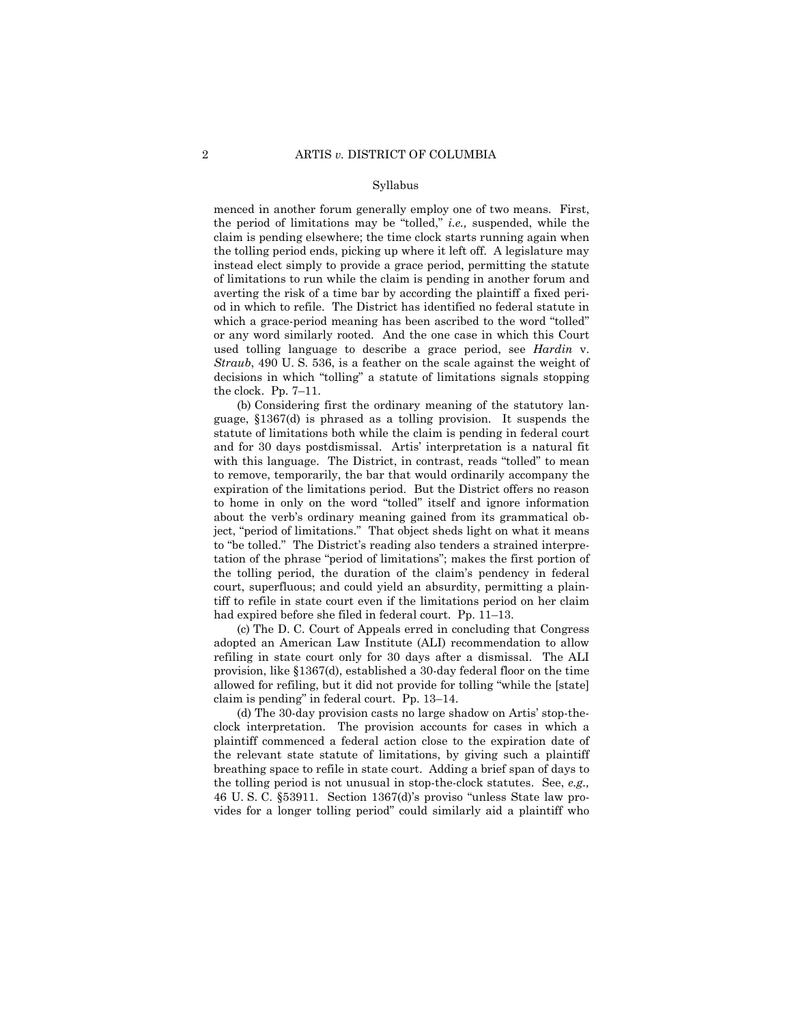#### Syllabus

menced in another forum generally employ one of two means. First, the period of limitations may be "tolled," *i.e.,* suspended, while the claim is pending elsewhere; the time clock starts running again when the tolling period ends, picking up where it left off. A legislature may instead elect simply to provide a grace period, permitting the statute of limitations to run while the claim is pending in another forum and averting the risk of a time bar by according the plaintiff a fixed period in which to refile. The District has identified no federal statute in which a grace-period meaning has been ascribed to the word "tolled" or any word similarly rooted. And the one case in which this Court used tolling language to describe a grace period, see *Hardin* v. *Straub*, 490 U. S. 536, is a feather on the scale against the weight of decisions in which "tolling" a statute of limitations signals stopping the clock. Pp. 7–11.

 about the verb's ordinary meaning gained from its grammatical ob- to "be tolled." The District's reading also tenders a strained interpre-(b) Considering first the ordinary meaning of the statutory language, §1367(d) is phrased as a tolling provision. It suspends the statute of limitations both while the claim is pending in federal court and for 30 days postdismissal. Artis' interpretation is a natural fit with this language. The District, in contrast, reads "tolled" to mean to remove, temporarily, the bar that would ordinarily accompany the expiration of the limitations period. But the District offers no reason to home in only on the word "tolled" itself and ignore information ject, "period of limitations." That object sheds light on what it means tation of the phrase "period of limitations"; makes the first portion of the tolling period, the duration of the claim's pendency in federal court, superfluous; and could yield an absurdity, permitting a plaintiff to refile in state court even if the limitations period on her claim had expired before she filed in federal court. Pp. 11–13.

(c) The D. C. Court of Appeals erred in concluding that Congress adopted an American Law Institute (ALI) recommendation to allow refiling in state court only for 30 days after a dismissal. The ALI provision, like §1367(d), established a 30-day federal floor on the time allowed for refiling, but it did not provide for tolling "while the [state] claim is pending" in federal court. Pp. 13–14.

 breathing space to refile in state court. Adding a brief span of days to (d) The 30-day provision casts no large shadow on Artis' stop-theclock interpretation. The provision accounts for cases in which a plaintiff commenced a federal action close to the expiration date of the relevant state statute of limitations, by giving such a plaintiff the tolling period is not unusual in stop-the-clock statutes. See, *e.g.,* 46 U. S. C. §53911. Section 1367(d)'s proviso "unless State law provides for a longer tolling period" could similarly aid a plaintiff who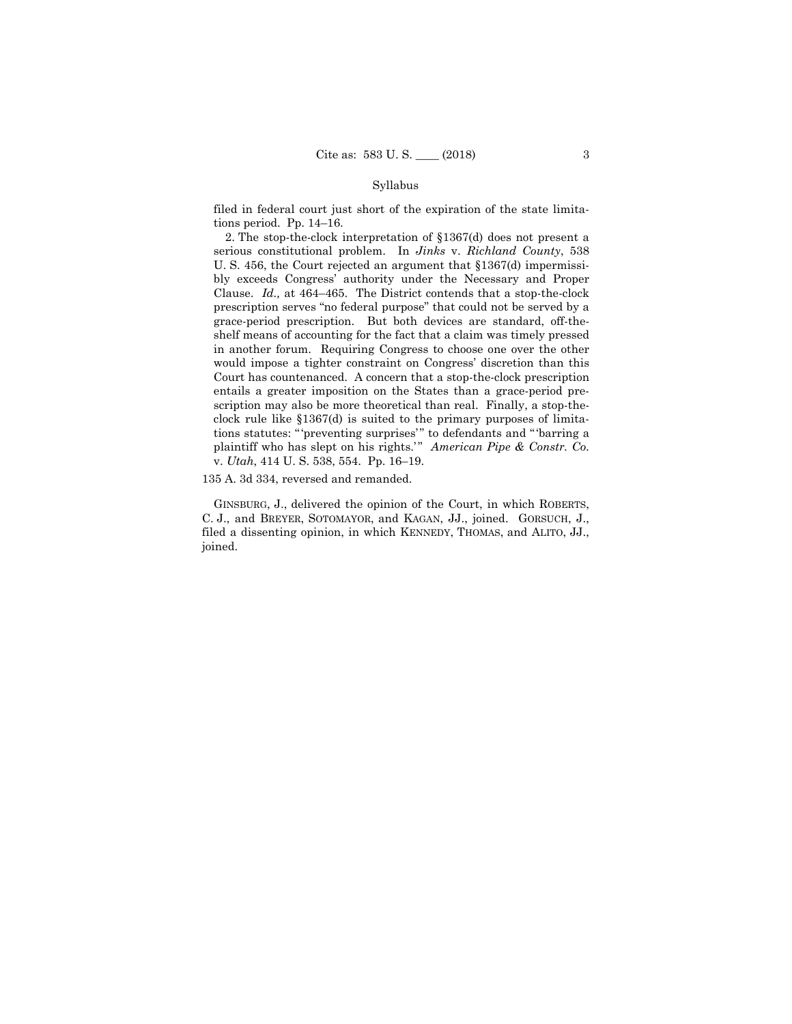#### Syllabus

filed in federal court just short of the expiration of the state limitations period. Pp. 14–16.

2. The stop-the-clock interpretation of §1367(d) does not present a serious constitutional problem. In *Jinks* v. *Richland County*, 538 U. S. 456, the Court rejected an argument that §1367(d) impermissibly exceeds Congress' authority under the Necessary and Proper Clause. *Id.,* at 464–465. The District contends that a stop-the-clock prescription serves "no federal purpose" that could not be served by a grace-period prescription. But both devices are standard, off-theshelf means of accounting for the fact that a claim was timely pressed in another forum. Requiring Congress to choose one over the other would impose a tighter constraint on Congress' discretion than this Court has countenanced. A concern that a stop-the-clock prescription entails a greater imposition on the States than a grace-period prescription may also be more theoretical than real. Finally, a stop-theclock rule like §1367(d) is suited to the primary purposes of limitations statutes: "'preventing surprises'" to defendants and "'barring a plaintiff who has slept on his rights.'" American Pipe & Constr. Co. v. *Utah*, 414 U. S. 538, 554. Pp. 16–19.

135 A. 3d 334, reversed and remanded.

 GINSBURG, J., delivered the opinion of the Court, in which ROBERTS, filed a dissenting opinion, in which KENNEDY, THOMAS, and ALITO, JJ., C. J., and BREYER, SOTOMAYOR, and KAGAN, JJ., joined. GORSUCH, J., joined.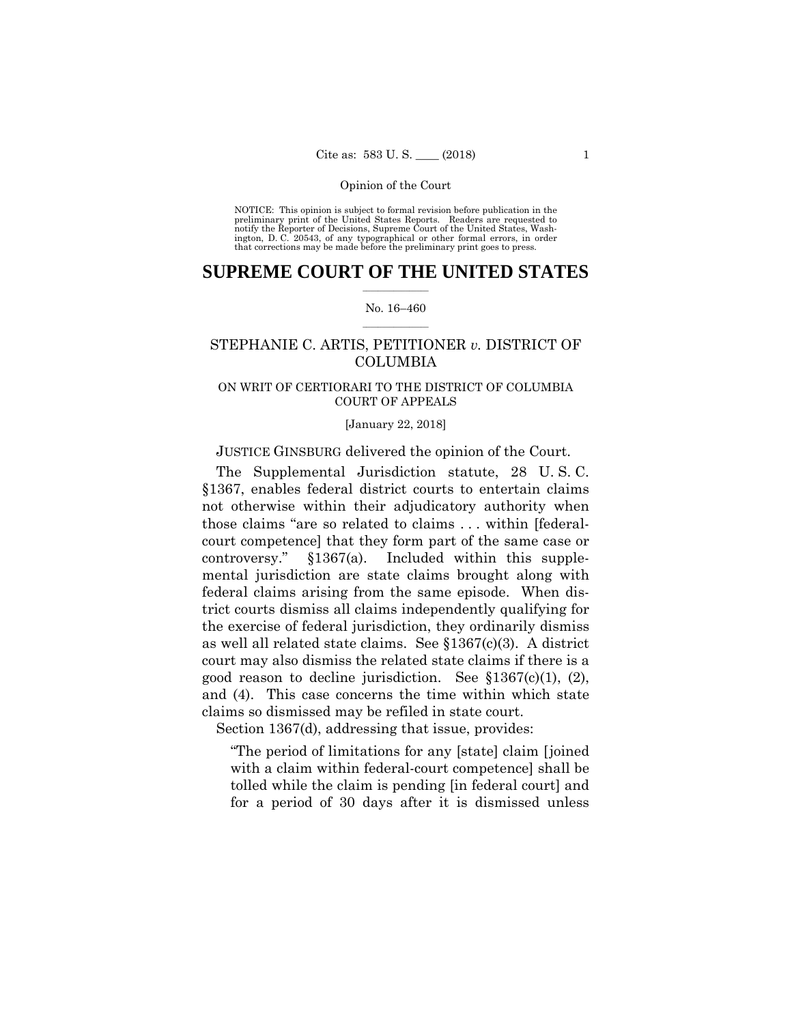preliminary print of the United States Reports. Readers are requested to notify the Reporter of Decisions, Supreme Court of the United States, Wash- ington, D. C. 20543, of any typographical or other formal errors, in order that corrections may be made before the preliminary print goes to press. NOTICE: This opinion is subject to formal revision before publication in the

# $\frac{1}{2}$  ,  $\frac{1}{2}$  ,  $\frac{1}{2}$  ,  $\frac{1}{2}$  ,  $\frac{1}{2}$  ,  $\frac{1}{2}$  ,  $\frac{1}{2}$ **SUPREME COURT OF THE UNITED STATES**

#### $\frac{1}{2}$  ,  $\frac{1}{2}$  ,  $\frac{1}{2}$  ,  $\frac{1}{2}$  ,  $\frac{1}{2}$  ,  $\frac{1}{2}$ No. 16–460

# STEPHANIE C. ARTIS, PETITIONER *v.* DISTRICT OF COLUMBIA

# ON WRIT OF CERTIORARI TO THE DISTRICT OF COLUMBIA COURT OF APPEALS

#### [January 22, 2018]

# JUSTICE GINSBURG delivered the opinion of the Court.

The Supplemental Jurisdiction statute, 28 U. S. C. §1367, enables federal district courts to entertain claims not otherwise within their adjudicatory authority when those claims "are so related to claims . . . within [federalcourt competence] that they form part of the same case or controversy." §1367(a). Included within this supplemental jurisdiction are state claims brought along with federal claims arising from the same episode. When district courts dismiss all claims independently qualifying for the exercise of federal jurisdiction, they ordinarily dismiss as well all related state claims. See §1367(c)(3). A district court may also dismiss the related state claims if there is a good reason to decline jurisdiction. See §1367(c)(1), (2), and (4). This case concerns the time within which state claims so dismissed may be refiled in state court.

Section 1367(d), addressing that issue, provides:

"The period of limitations for any [state] claim [joined with a claim within federal-court competence] shall be tolled while the claim is pending [in federal court] and for a period of 30 days after it is dismissed unless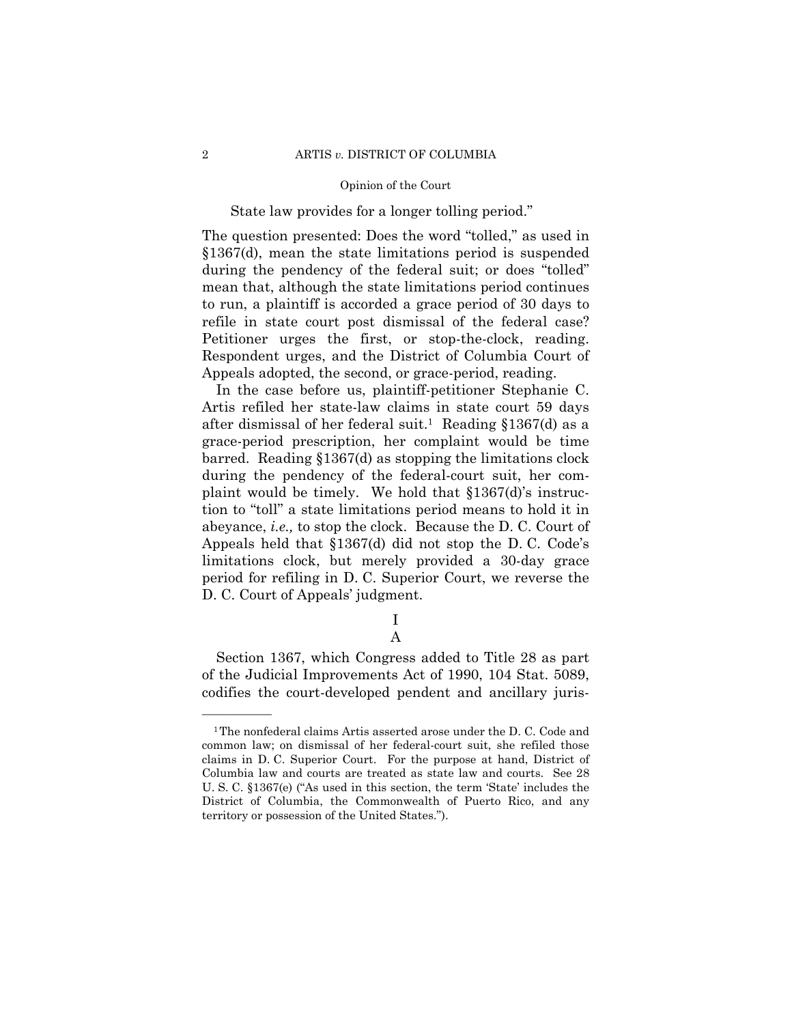# State law provides for a longer tolling period."

The question presented: Does the word "tolled," as used in §1367(d), mean the state limitations period is suspended during the pendency of the federal suit; or does "tolled" mean that, although the state limitations period continues to run, a plaintiff is accorded a grace period of 30 days to refile in state court post dismissal of the federal case? Petitioner urges the first, or stop-the-clock, reading. Respondent urges, and the District of Columbia Court of Appeals adopted, the second, or grace-period, reading.

In the case before us, plaintiff-petitioner Stephanie C. Artis refiled her state-law claims in state court 59 days after dismissal of her federal suit.<sup>1</sup> Reading  $$1367(d)$  as a grace-period prescription, her complaint would be time barred. Reading §1367(d) as stopping the limitations clock during the pendency of the federal-court suit, her complaint would be timely. We hold that §1367(d)'s instruction to "toll" a state limitations period means to hold it in abeyance, *i.e.,* to stop the clock. Because the D. C. Court of Appeals held that §1367(d) did not stop the D. C. Code's limitations clock, but merely provided a 30-day grace period for refiling in D. C. Superior Court, we reverse the D. C. Court of Appeals' judgment.

> I A

Section 1367, which Congress added to Title 28 as part of the Judicial Improvements Act of 1990, 104 Stat. 5089, codifies the court-developed pendent and ancillary juris-

<sup>1</sup>The nonfederal claims Artis asserted arose under the D. C. Code and common law; on dismissal of her federal-court suit, she refiled those claims in D. C. Superior Court. For the purpose at hand, District of Columbia law and courts are treated as state law and courts. See 28 U. S. C. §1367(e) ("As used in this section, the term 'State' includes the District of Columbia, the Commonwealth of Puerto Rico, and any territory or possession of the United States.").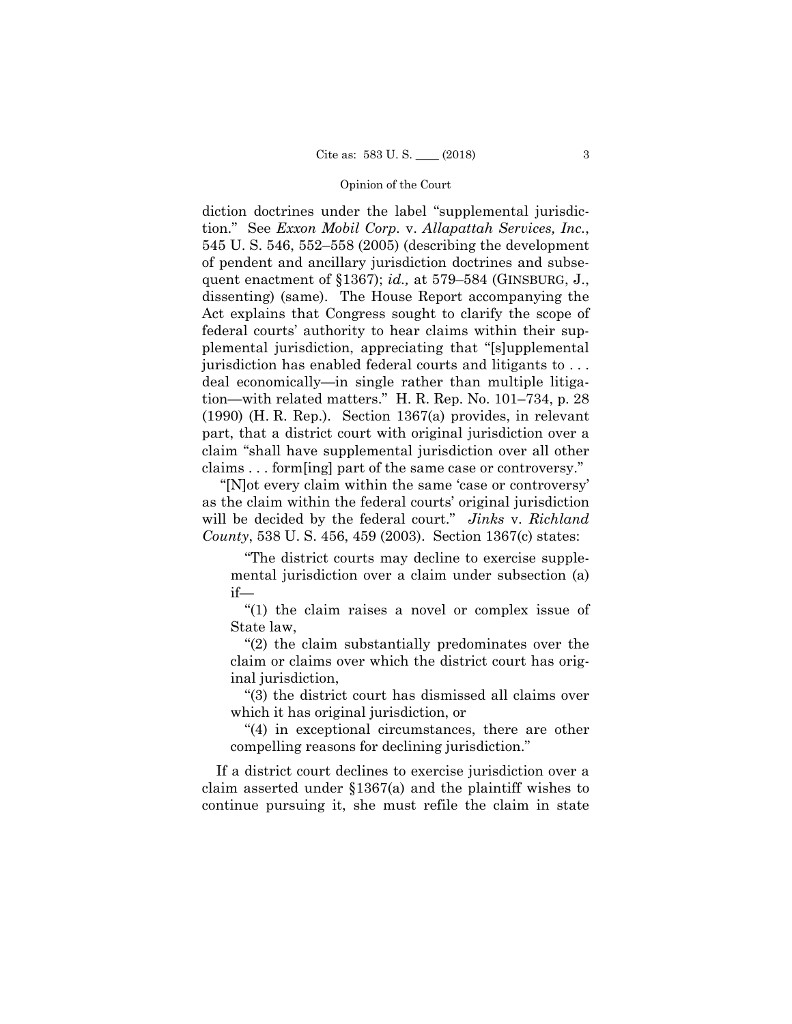diction doctrines under the label "supplemental jurisdiction." See *Exxon Mobil Corp.* v. *Allapattah Services, Inc.*, 545 U. S. 546, 552–558 (2005) (describing the development of pendent and ancillary jurisdiction doctrines and subsequent enactment of §1367); *id.,* at 579–584 (GINSBURG, J., dissenting) (same). The House Report accompanying the Act explains that Congress sought to clarify the scope of federal courts' authority to hear claims within their supplemental jurisdiction, appreciating that "[s]upplemental jurisdiction has enabled federal courts and litigants to . . . deal economically—in single rather than multiple litigation—with related matters." H. R. Rep. No. 101–734, p. 28 (1990) (H. R. Rep.). Section 1367(a) provides, in relevant part, that a district court with original jurisdiction over a claim "shall have supplemental jurisdiction over all other claims . . . form[ing] part of the same case or controversy."

"[N]ot every claim within the same 'case or controversy' as the claim within the federal courts' original jurisdiction will be decided by the federal court." *Jinks* v. *Richland County*, 538 U. S. 456, 459 (2003). Section 1367(c) states:

"The district courts may decline to exercise supplemental jurisdiction over a claim under subsection (a) if—

"(1) the claim raises a novel or complex issue of State law,

"(2) the claim substantially predominates over the claim or claims over which the district court has original jurisdiction,

"(3) the district court has dismissed all claims over which it has original jurisdiction, or

"(4) in exceptional circumstances, there are other compelling reasons for declining jurisdiction."

If a district court declines to exercise jurisdiction over a claim asserted under §1367(a) and the plaintiff wishes to continue pursuing it, she must refile the claim in state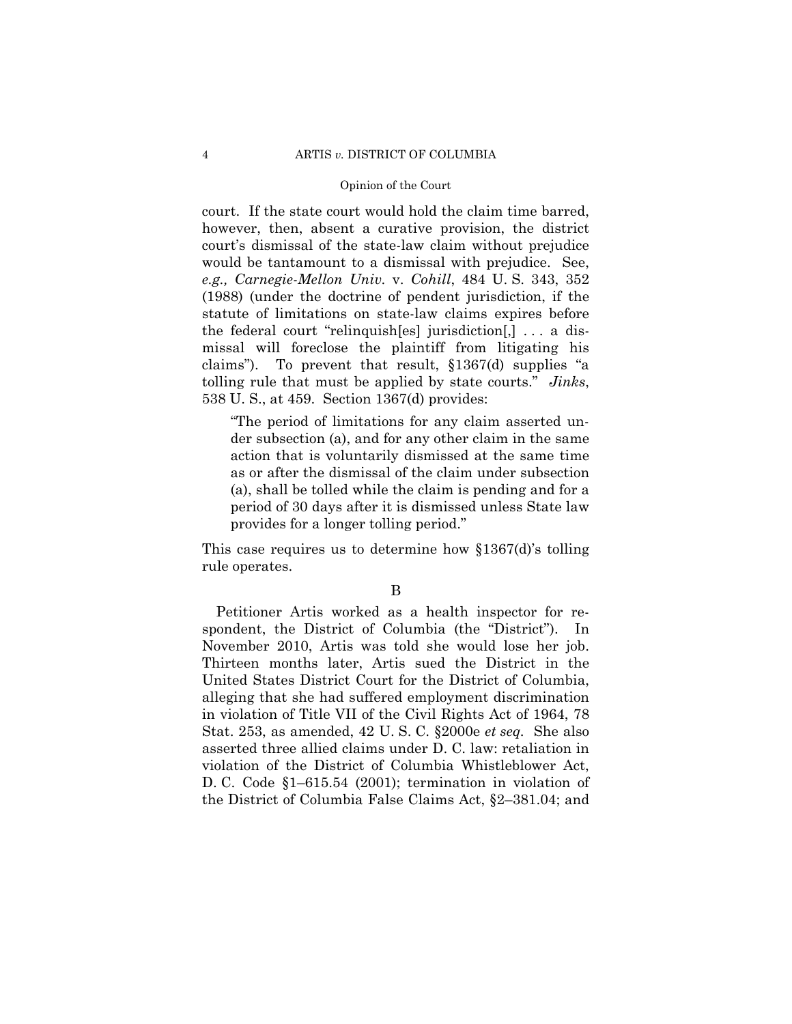court. If the state court would hold the claim time barred, however, then, absent a curative provision, the district court's dismissal of the state-law claim without prejudice would be tantamount to a dismissal with prejudice. See, *e.g., Carnegie-Mellon Univ.* v. *Cohill*, 484 U. S. 343, 352 (1988) (under the doctrine of pendent jurisdiction, if the statute of limitations on state-law claims expires before the federal court "relinquish[es] jurisdiction[,] . . . a dismissal will foreclose the plaintiff from litigating his claims"). To prevent that result, §1367(d) supplies "a tolling rule that must be applied by state courts." *Jinks*, 538 U. S., at 459. Section 1367(d) provides:

"The period of limitations for any claim asserted under subsection (a), and for any other claim in the same action that is voluntarily dismissed at the same time as or after the dismissal of the claim under subsection (a), shall be tolled while the claim is pending and for a period of 30 days after it is dismissed unless State law provides for a longer tolling period."

This case requires us to determine how §1367(d)'s tolling rule operates.

#### B

Petitioner Artis worked as a health inspector for respondent, the District of Columbia (the "District"). In November 2010, Artis was told she would lose her job. Thirteen months later, Artis sued the District in the United States District Court for the District of Columbia, alleging that she had suffered employment discrimination in violation of Title VII of the Civil Rights Act of 1964, 78 Stat. 253, as amended, 42 U. S. C. §2000e *et seq.* She also asserted three allied claims under D. C. law: retaliation in violation of the District of Columbia Whistleblower Act, D. C. Code §1–615.54 (2001); termination in violation of the District of Columbia False Claims Act, §2–381.04; and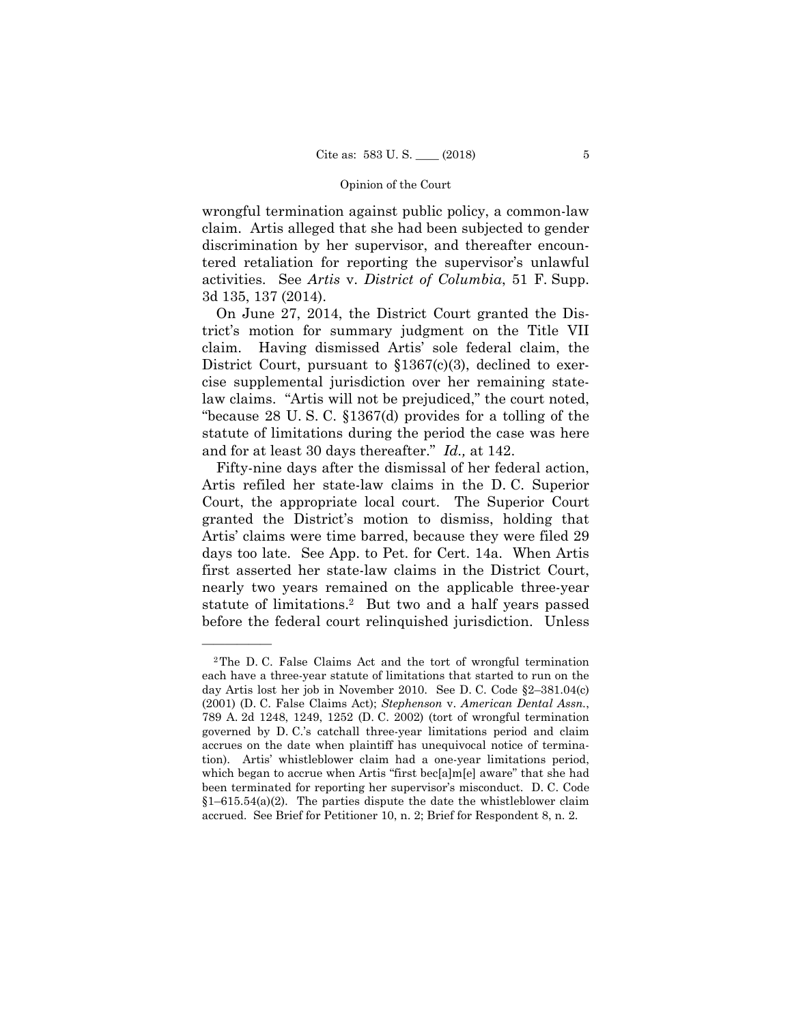wrongful termination against public policy, a common-law claim. Artis alleged that she had been subjected to gender discrimination by her supervisor, and thereafter encountered retaliation for reporting the supervisor's unlawful activities. See *Artis* v. *District of Columbia*, 51 F. Supp. 3d 135, 137 (2014).

On June 27, 2014, the District Court granted the District's motion for summary judgment on the Title VII claim. Having dismissed Artis' sole federal claim, the District Court, pursuant to  $$1367(c)(3)$ , declined to exercise supplemental jurisdiction over her remaining statelaw claims. "Artis will not be prejudiced," the court noted, "because 28 U. S. C. §1367(d) provides for a tolling of the statute of limitations during the period the case was here and for at least 30 days thereafter." *Id.,* at 142.

Fifty-nine days after the dismissal of her federal action, Artis refiled her state-law claims in the D. C. Superior Court, the appropriate local court. The Superior Court granted the District's motion to dismiss, holding that Artis' claims were time barred, because they were filed 29 days too late. See App. to Pet. for Cert. 14a. When Artis first asserted her state-law claims in the District Court, nearly two years remained on the applicable three-year statute of limitations.2 But two and a half years passed before the federal court relinquished jurisdiction. Unless

<sup>2</sup>The D. C. False Claims Act and the tort of wrongful termination each have a three-year statute of limitations that started to run on the day Artis lost her job in November 2010. See D. C. Code §2–381.04(c) (2001) (D. C. False Claims Act); *Stephenson* v. *American Dental Assn.*, 789 A. 2d 1248, 1249, 1252 (D. C. 2002) (tort of wrongful termination governed by D. C.'s catchall three-year limitations period and claim accrues on the date when plaintiff has unequivocal notice of termination). Artis' whistleblower claim had a one-year limitations period, which began to accrue when Artis "first bec[a]m[e] aware" that she had been terminated for reporting her supervisor's misconduct. D. C. Code  $§1-615.54(a)(2)$ . The parties dispute the date the whistleblower claim accrued. See Brief for Petitioner 10, n. 2; Brief for Respondent 8, n. 2.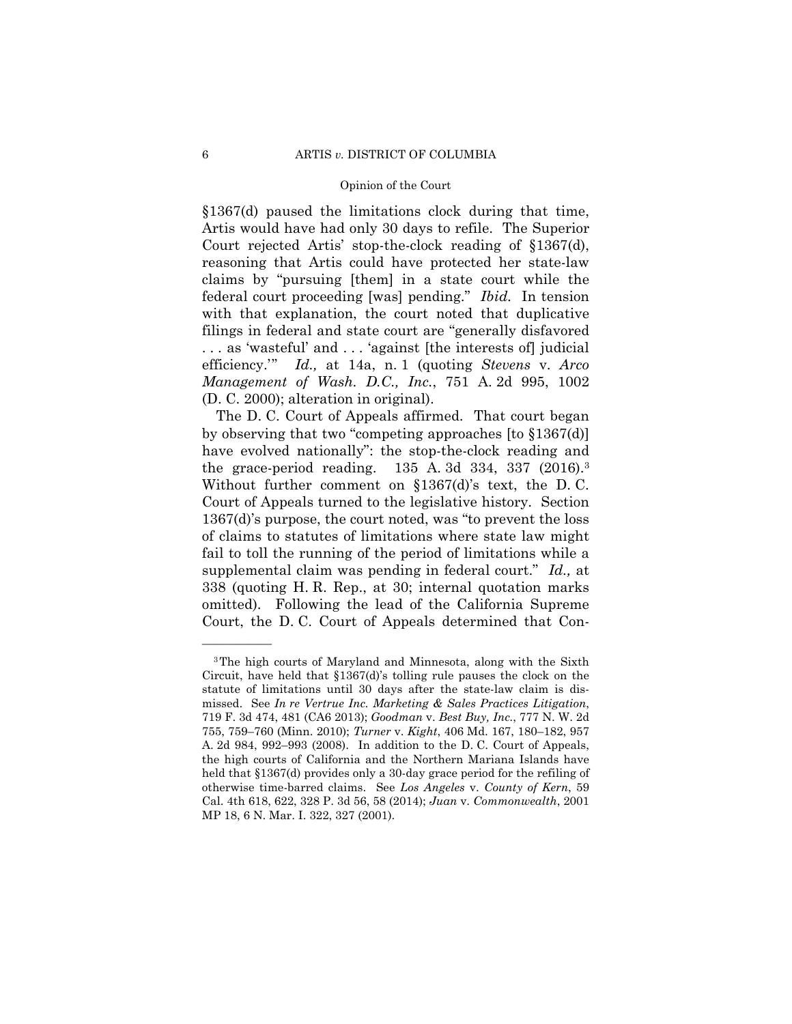§1367(d) paused the limitations clock during that time, Artis would have had only 30 days to refile. The Superior Court rejected Artis' stop-the-clock reading of §1367(d), reasoning that Artis could have protected her state-law claims by "pursuing [them] in a state court while the federal court proceeding [was] pending." *Ibid.* In tension with that explanation, the court noted that duplicative filings in federal and state court are "generally disfavored . . . as 'wasteful' and . . . 'against [the interests of] judicial efficiency.'" *Id.,* at 14a, n. 1 (quoting *Stevens* v. *Arco Management of Wash. D.C., Inc.*, 751 A. 2d 995, 1002 (D. C. 2000); alteration in original).

 the grace-period reading. 135 A. 3d 334, 337 (2016).3 Without further comment on §1367(d)'s text, the D. C. The D. C. Court of Appeals affirmed. That court began by observing that two "competing approaches [to §1367(d)] have evolved nationally": the stop-the-clock reading and Court of Appeals turned to the legislative history. Section 1367(d)'s purpose, the court noted, was "to prevent the loss of claims to statutes of limitations where state law might fail to toll the running of the period of limitations while a supplemental claim was pending in federal court." *Id.,* at 338 (quoting H. R. Rep., at 30; internal quotation marks omitted). Following the lead of the California Supreme Court, the D. C. Court of Appeals determined that Con-

<sup>3</sup>The high courts of Maryland and Minnesota, along with the Sixth Circuit, have held that §1367(d)'s tolling rule pauses the clock on the statute of limitations until 30 days after the state-law claim is dismissed. See *In re Vertrue Inc. Marketing & Sales Practices Litigation*, 719 F. 3d 474, 481 (CA6 2013); *Goodman* v. *Best Buy, Inc.*, 777 N. W. 2d 755, 759–760 (Minn. 2010); *Turner* v. *Kight*, 406 Md. 167, 180–182, 957 A. 2d 984, 992–993 (2008). In addition to the D. C. Court of Appeals, the high courts of California and the Northern Mariana Islands have held that §1367(d) provides only a 30-day grace period for the refiling of otherwise time-barred claims. See *Los Angeles* v. *County of Kern*, 59 Cal. 4th 618, 622, 328 P. 3d 56, 58 (2014); *Juan* v. *Commonwealth*, 2001 MP 18, 6 N. Mar. I. 322, 327 (2001).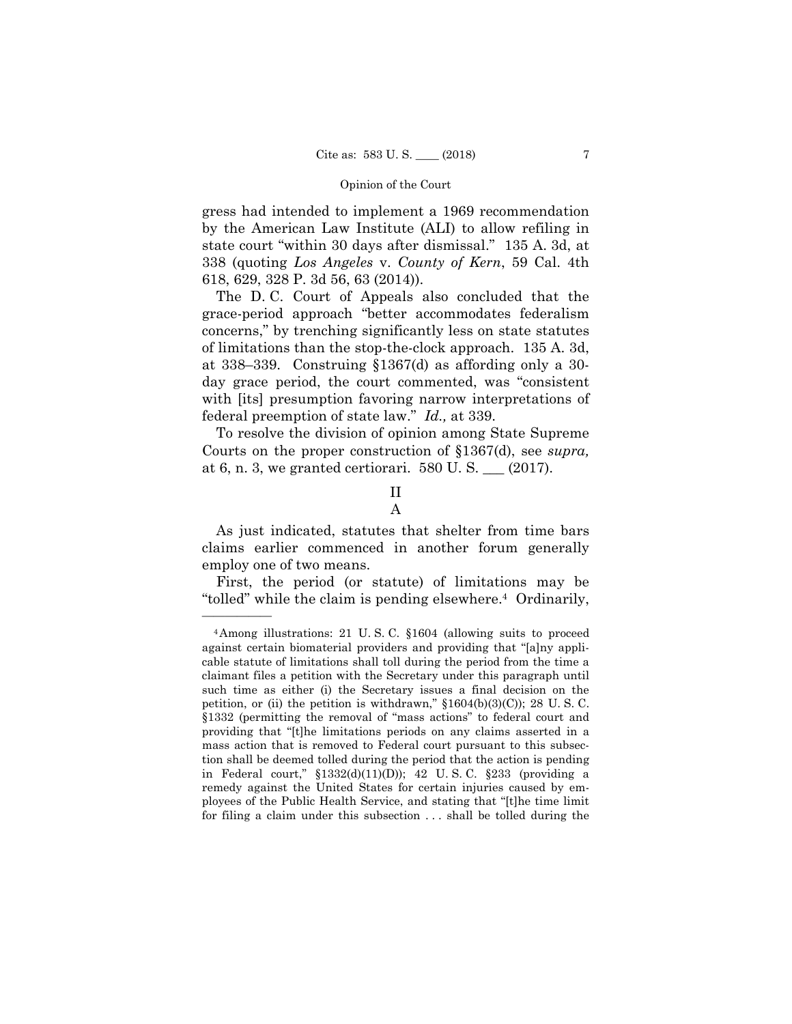gress had intended to implement a 1969 recommendation by the American Law Institute (ALI) to allow refiling in state court "within 30 days after dismissal." 135 A. 3d, at 338 (quoting *Los Angeles* v. *County of Kern*, 59 Cal. 4th 618, 629, 328 P. 3d 56, 63 (2014)).

The D. C. Court of Appeals also concluded that the grace-period approach "better accommodates federalism concerns," by trenching significantly less on state statutes of limitations than the stop-the-clock approach. 135 A. 3d, at 338–339. Construing §1367(d) as affording only a 30 day grace period, the court commented, was "consistent with [its] presumption favoring narrow interpretations of federal preemption of state law." *Id.,* at 339.

To resolve the division of opinion among State Supreme Courts on the proper construction of §1367(d), see *supra,*  at 6, n. 3, we granted certiorari. 580 U. S. \_\_\_ (2017).

# II

## A

As just indicated, statutes that shelter from time bars claims earlier commenced in another forum generally employ one of two means.

 "tolled" while the claim is pending elsewhere.4 Ordinarily, First, the period (or statute) of limitations may be

 in Federal court," §1332(d)(11)(D)); 42 U. S. C. §233 (providing a 4Among illustrations: 21 U. S. C. §1604 (allowing suits to proceed against certain biomaterial providers and providing that "[a]ny applicable statute of limitations shall toll during the period from the time a claimant files a petition with the Secretary under this paragraph until such time as either (i) the Secretary issues a final decision on the petition, or (ii) the petition is withdrawn," §1604(b)(3)(C)); 28 U. S. C. §1332 (permitting the removal of "mass actions" to federal court and providing that "[t]he limitations periods on any claims asserted in a mass action that is removed to Federal court pursuant to this subsection shall be deemed tolled during the period that the action is pending remedy against the United States for certain injuries caused by employees of the Public Health Service, and stating that "[t]he time limit for filing a claim under this subsection . . . shall be tolled during the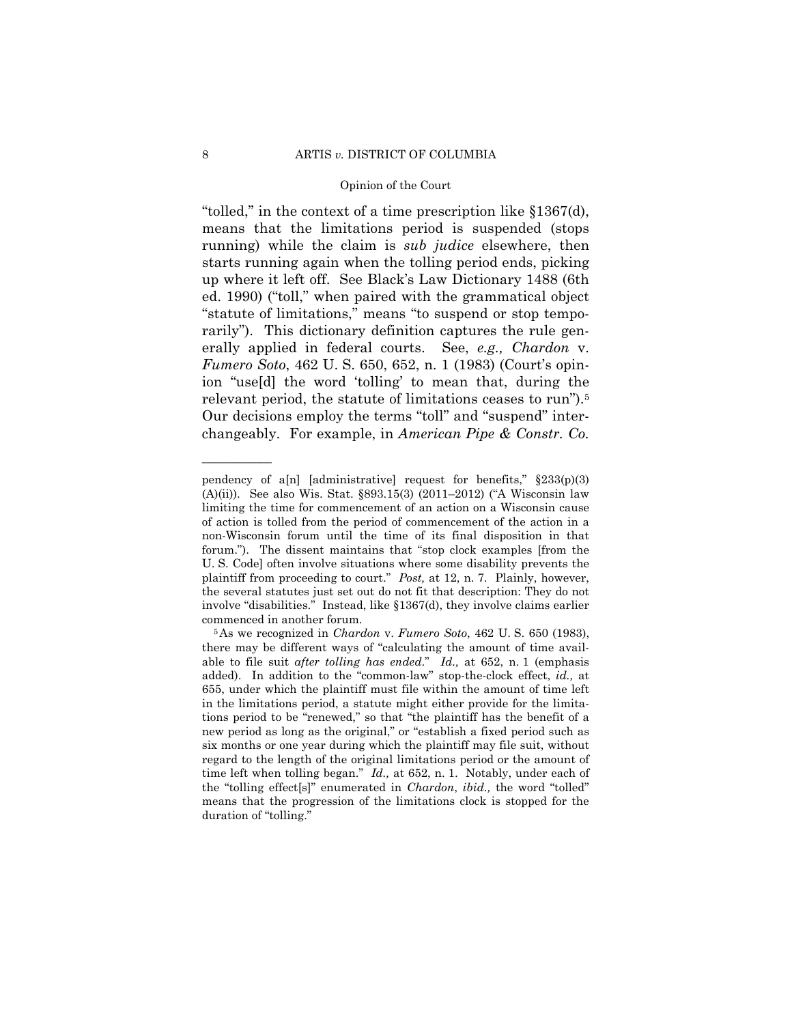relevant period, the statute of limitations ceases to run").5 "tolled," in the context of a time prescription like §1367(d), means that the limitations period is suspended (stops running) while the claim is *sub judice* elsewhere, then starts running again when the tolling period ends, picking up where it left off. See Black's Law Dictionary 1488 (6th ed. 1990) ("toll," when paired with the grammatical object "statute of limitations," means "to suspend or stop temporarily"). This dictionary definition captures the rule generally applied in federal courts. See, *e.g., Chardon* v. *Fumero Soto*, 462 U. S. 650, 652, n. 1 (1983) (Court's opinion "use[d] the word 'tolling' to mean that, during the Our decisions employ the terms "toll" and "suspend" interchangeably. For example, in *American Pipe & Constr. Co.* 

 plaintiff from proceeding to court." *Post,* at 12, n. 7. Plainly, however, pendency of a[n] [administrative] request for benefits,"  $\S 233(p)(3)$ (A)(ii)). See also Wis. Stat. §893.15(3) (2011–2012) ("A Wisconsin law limiting the time for commencement of an action on a Wisconsin cause of action is tolled from the period of commencement of the action in a non-Wisconsin forum until the time of its final disposition in that forum."). The dissent maintains that "stop clock examples [from the U. S. Code] often involve situations where some disability prevents the the several statutes just set out do not fit that description: They do not involve "disabilities." Instead, like §1367(d), they involve claims earlier commenced in another forum. 5As we recognized in *Chardon* v. *Fumero Soto*, 462 U. S. 650 (1983),

there may be different ways of "calculating the amount of time available to file suit *after tolling has ended*." *Id.,* at 652, n. 1 (emphasis added). In addition to the "common-law" stop-the-clock effect, *id.,* at 655, under which the plaintiff must file within the amount of time left in the limitations period, a statute might either provide for the limitations period to be "renewed," so that "the plaintiff has the benefit of a new period as long as the original," or "establish a fixed period such as six months or one year during which the plaintiff may file suit, without regard to the length of the original limitations period or the amount of time left when tolling began." *Id.,* at 652, n. 1. Notably, under each of the "tolling effect[s]" enumerated in *Chardon*, *ibid.,* the word "tolled" means that the progression of the limitations clock is stopped for the duration of "tolling."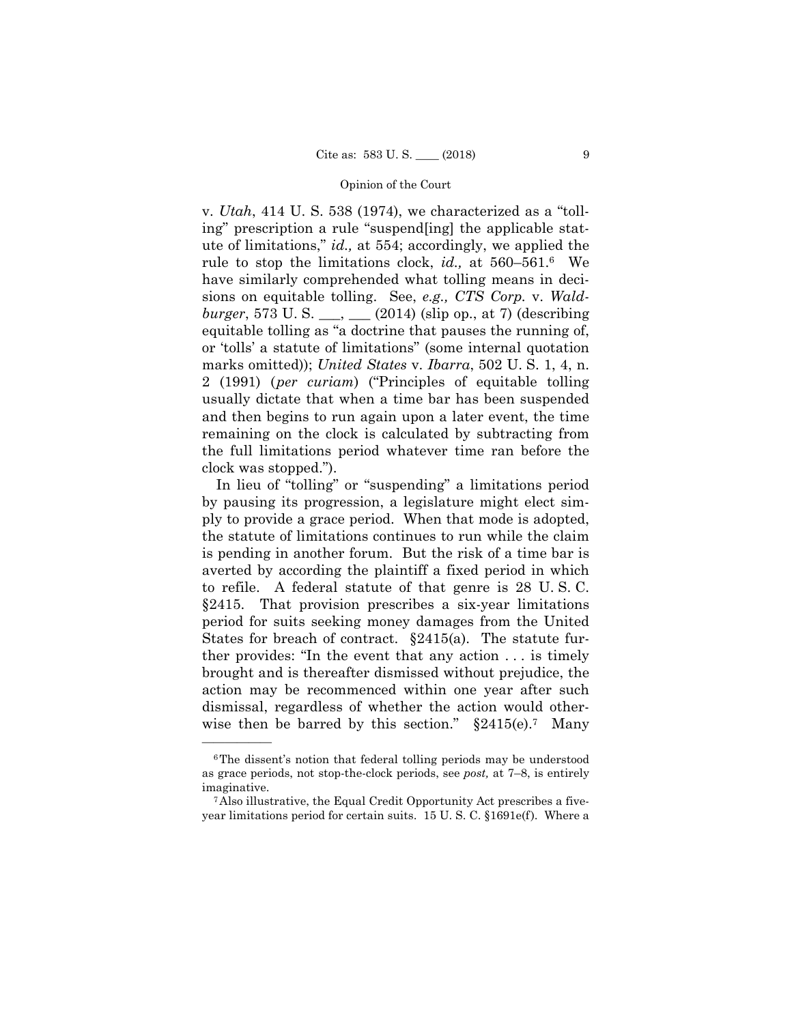v. *Utah*, 414 U. S. 538 (1974), we characterized as a "tolling" prescription a rule "suspend[ing] the applicable statute of limitations," *id.,* at 554; accordingly, we applied the rule to stop the limitations clock, *id.,* at 560–561.6 We have similarly comprehended what tolling means in decisions on equitable tolling. See, *e.g., CTS Corp.* v. *Waldburger*, 573 U. S. \_\_\_, \_\_\_ (2014) (slip op., at 7) (describing equitable tolling as "a doctrine that pauses the running of, or 'tolls' a statute of limitations" (some internal quotation marks omitted)); *United States* v. *Ibarra*, 502 U. S. 1, 4, n. 2 (1991) (*per curiam*) ("Principles of equitable tolling usually dictate that when a time bar has been suspended and then begins to run again upon a later event, the time remaining on the clock is calculated by subtracting from the full limitations period whatever time ran before the clock was stopped.").

 is pending in another forum. But the risk of a time bar is In lieu of "tolling" or "suspending" a limitations period by pausing its progression, a legislature might elect simply to provide a grace period. When that mode is adopted, the statute of limitations continues to run while the claim averted by according the plaintiff a fixed period in which to refile. A federal statute of that genre is 28 U. S. C. §2415. That provision prescribes a six-year limitations period for suits seeking money damages from the United States for breach of contract. §2415(a). The statute further provides: "In the event that any action . . . is timely brought and is thereafter dismissed without prejudice, the action may be recommenced within one year after such dismissal, regardless of whether the action would otherwise then be barred by this section."  $\S2415(e)$ . Many

 as grace periods, not stop-the-clock periods, see *post,* at 7–8, is entirely <sup>6</sup>The dissent's notion that federal tolling periods may be understood imaginative. 7Also illustrative, the Equal Credit Opportunity Act prescribes a five-

year limitations period for certain suits. 15 U. S. C. §1691e(f). Where a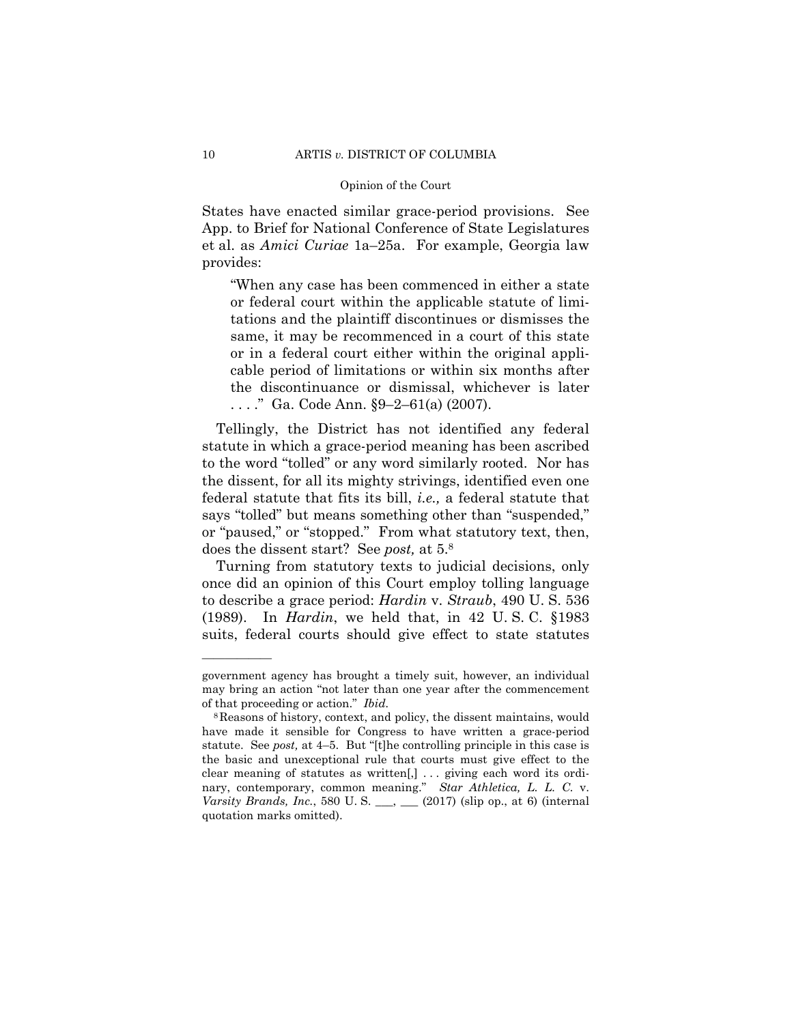States have enacted similar grace-period provisions. See App. to Brief for National Conference of State Legislatures et al. as *Amici Curiae* 1a–25a. For example, Georgia law provides:

"When any case has been commenced in either a state or federal court within the applicable statute of limitations and the plaintiff discontinues or dismisses the same, it may be recommenced in a court of this state or in a federal court either within the original applicable period of limitations or within six months after the discontinuance or dismissal, whichever is later . . . ." Ga. Code Ann. §9–2–61(a) (2007).

 does the dissent start? See *post,* at 5.8 Tellingly, the District has not identified any federal statute in which a grace-period meaning has been ascribed to the word "tolled" or any word similarly rooted. Nor has the dissent, for all its mighty strivings, identified even one federal statute that fits its bill, *i.e.,* a federal statute that says "tolled" but means something other than "suspended," or "paused," or "stopped." From what statutory text, then,

Turning from statutory texts to judicial decisions, only once did an opinion of this Court employ tolling language to describe a grace period: *Hardin* v. *Straub*, 490 U. S. 536 (1989). In *Hardin*, we held that, in 42 U. S. C. §1983 suits, federal courts should give effect to state statutes

government agency has brought a timely suit, however, an individual may bring an action "not later than one year after the commencement of that proceeding or action." *Ibid.* 

 nary, contemporary, common meaning." *Star Athletica, L. L. C.* v. 8Reasons of history, context, and policy, the dissent maintains, would have made it sensible for Congress to have written a grace-period statute. See *post,* at 4–5. But "[t]he controlling principle in this case is the basic and unexceptional rule that courts must give effect to the clear meaning of statutes as written[,] . . . giving each word its ordi-*Varsity Brands, Inc.*, 580 U. S. \_\_\_, \_\_\_ (2017) (slip op., at 6) (internal quotation marks omitted).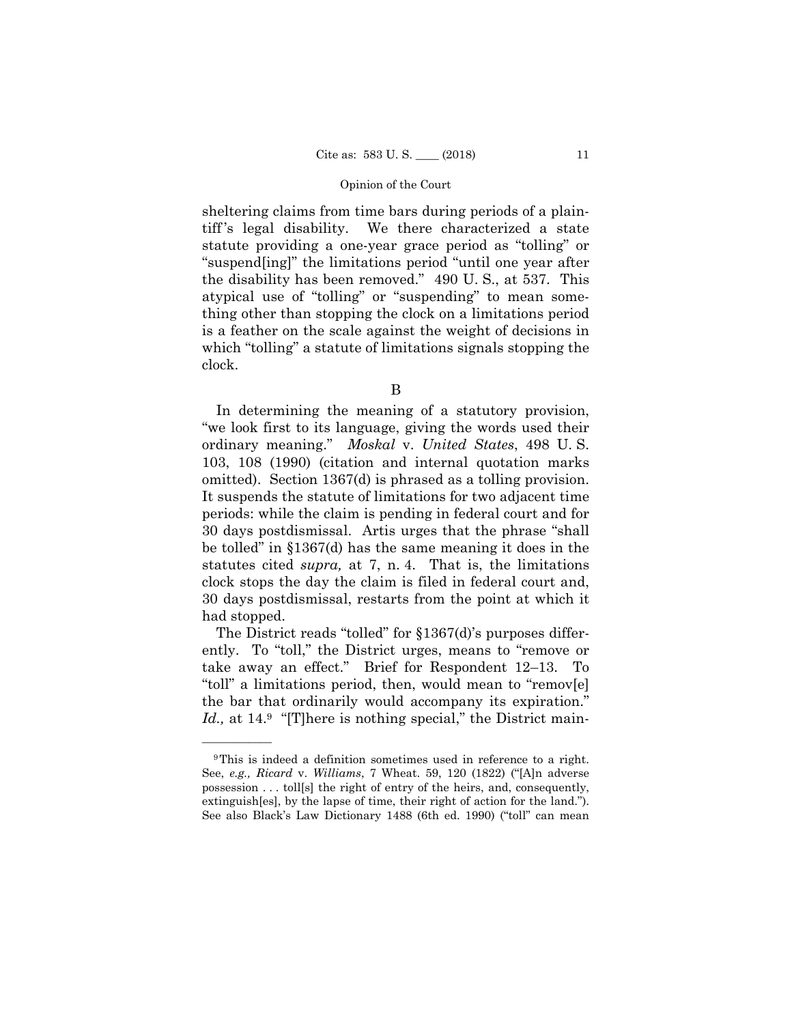sheltering claims from time bars during periods of a plaintiff 's legal disability. We there characterized a state statute providing a one-year grace period as "tolling" or "suspend[ing]" the limitations period "until one year after the disability has been removed." 490 U. S., at 537. This atypical use of "tolling" or "suspending" to mean something other than stopping the clock on a limitations period is a feather on the scale against the weight of decisions in which "tolling" a statute of limitations signals stopping the clock.

B

 ordinary meaning." *Moskal* v. *United States*, 498 U. S. In determining the meaning of a statutory provision, "we look first to its language, giving the words used their 103, 108 (1990) (citation and internal quotation marks omitted). Section 1367(d) is phrased as a tolling provision. It suspends the statute of limitations for two adjacent time periods: while the claim is pending in federal court and for 30 days postdismissal. Artis urges that the phrase "shall be tolled" in §1367(d) has the same meaning it does in the statutes cited *supra,* at 7, n. 4. That is, the limitations clock stops the day the claim is filed in federal court and, 30 days postdismissal, restarts from the point at which it had stopped.

The District reads "tolled" for §1367(d)'s purposes differently. To "toll," the District urges, means to "remove or take away an effect." Brief for Respondent 12–13. To "toll" a limitations period, then, would mean to "remov[e] the bar that ordinarily would accompany its expiration." *Id.*, at 14.<sup>9</sup> "[T]here is nothing special," the District main-

<sup>&</sup>lt;sup>9</sup>This is indeed a definition sometimes used in reference to a right. See, *e.g., Ricard* v. *Williams*, 7 Wheat. 59, 120 (1822) ("[A]n adverse possession . . . toll[s] the right of entry of the heirs, and, consequently, extinguish[es], by the lapse of time, their right of action for the land."). See also Black's Law Dictionary 1488 (6th ed. 1990) ("toll" can mean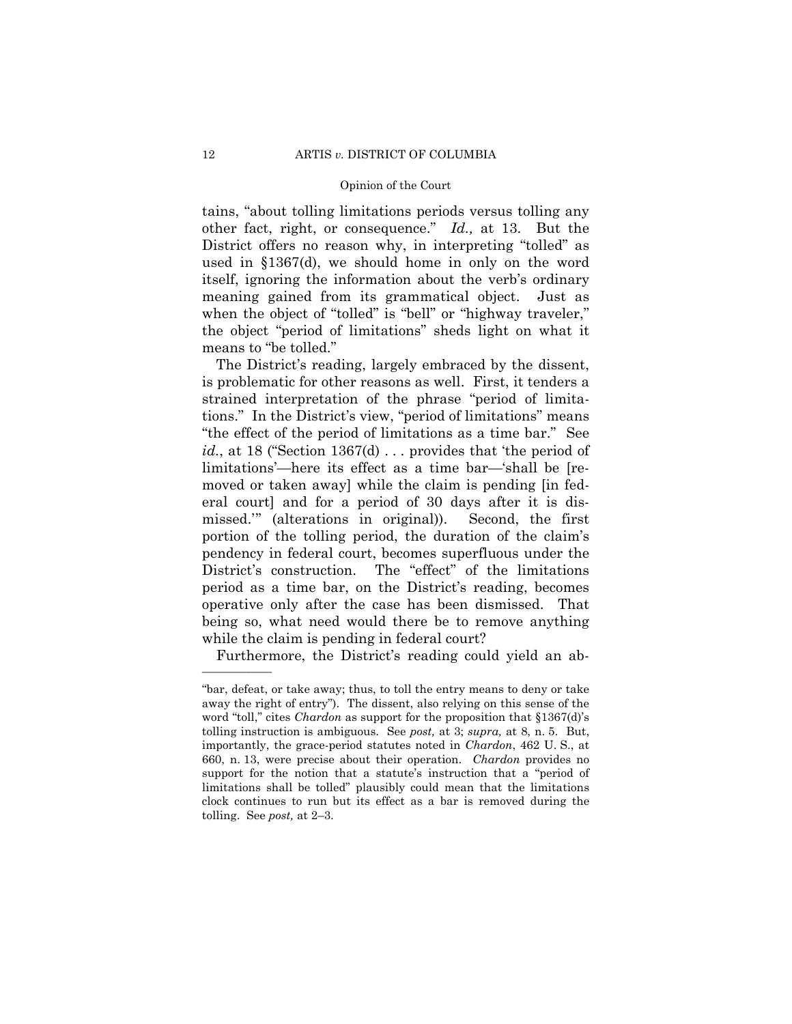other fact, right, or consequence." *Id.,* at 13. But the tains, "about tolling limitations periods versus tolling any District offers no reason why, in interpreting "tolled" as used in §1367(d), we should home in only on the word itself, ignoring the information about the verb's ordinary meaning gained from its grammatical object. Just as when the object of "tolled" is "bell" or "highway traveler," the object "period of limitations" sheds light on what it means to "be tolled."

The District's reading, largely embraced by the dissent, is problematic for other reasons as well. First, it tenders a strained interpretation of the phrase "period of limitations." In the District's view, "period of limitations" means "the effect of the period of limitations as a time bar." See *id.*, at 18 ("Section 1367(d) ... provides that 'the period of limitations'—here its effect as a time bar—'shall be [removed or taken away] while the claim is pending [in federal court] and for a period of 30 days after it is dismissed.'" (alterations in original)). Second, the first portion of the tolling period, the duration of the claim's pendency in federal court, becomes superfluous under the District's construction. The "effect" of the limitations period as a time bar, on the District's reading, becomes operative only after the case has been dismissed. That being so, what need would there be to remove anything while the claim is pending in federal court?

Furthermore, the District's reading could yield an ab-

 660, n. 13, were precise about their operation. *Chardon* provides no "bar, defeat, or take away; thus, to toll the entry means to deny or take away the right of entry"). The dissent, also relying on this sense of the word "toll," cites *Chardon* as support for the proposition that §1367(d)'s tolling instruction is ambiguous. See *post,* at 3; *supra,* at 8, n. 5. But, importantly, the grace-period statutes noted in *Chardon*, 462 U. S., at support for the notion that a statute's instruction that a "period of limitations shall be tolled" plausibly could mean that the limitations clock continues to run but its effect as a bar is removed during the tolling. See *post,* at 2–3.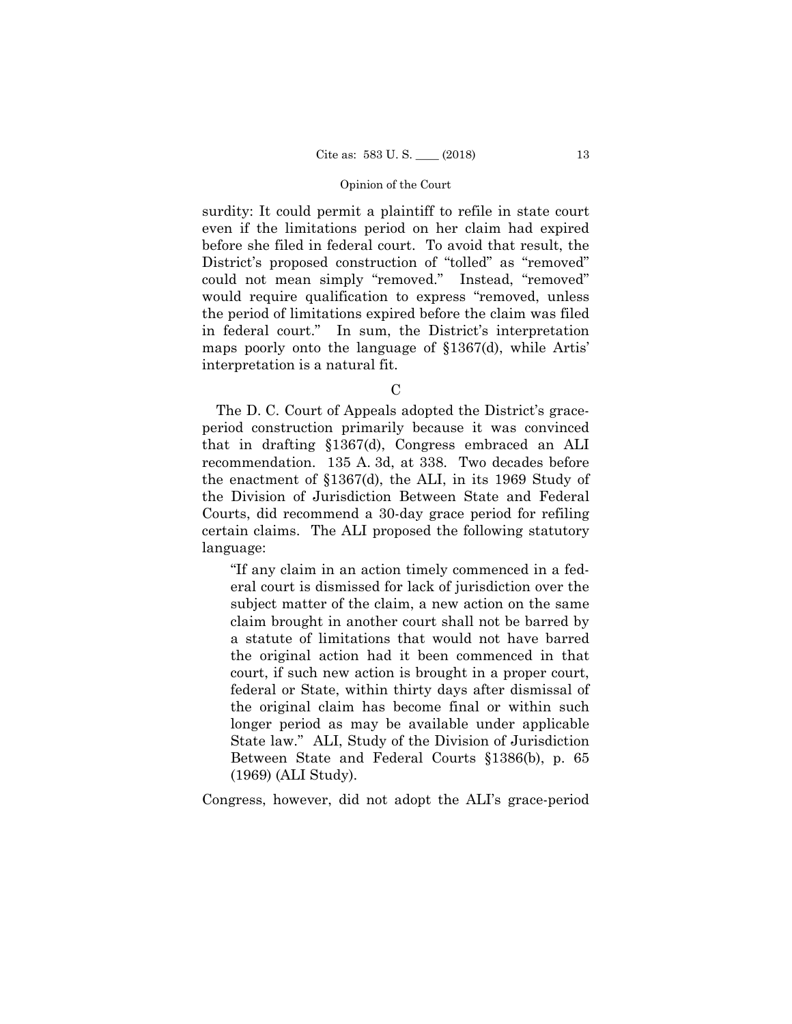surdity: It could permit a plaintiff to refile in state court even if the limitations period on her claim had expired before she filed in federal court. To avoid that result, the District's proposed construction of "tolled" as "removed" could not mean simply "removed." Instead, "removed" would require qualification to express "removed, unless the period of limitations expired before the claim was filed in federal court." In sum, the District's interpretation maps poorly onto the language of §1367(d), while Artis' interpretation is a natural fit.

C

The D. C. Court of Appeals adopted the District's graceperiod construction primarily because it was convinced that in drafting §1367(d), Congress embraced an ALI recommendation. 135 A. 3d, at 338. Two decades before the enactment of §1367(d), the ALI, in its 1969 Study of the Division of Jurisdiction Between State and Federal Courts, did recommend a 30-day grace period for refiling certain claims. The ALI proposed the following statutory language:

"If any claim in an action timely commenced in a federal court is dismissed for lack of jurisdiction over the subject matter of the claim, a new action on the same claim brought in another court shall not be barred by a statute of limitations that would not have barred the original action had it been commenced in that court, if such new action is brought in a proper court, federal or State, within thirty days after dismissal of the original claim has become final or within such longer period as may be available under applicable State law." ALI, Study of the Division of Jurisdiction Between State and Federal Courts §1386(b), p. 65 (1969) (ALI Study).

Congress, however, did not adopt the ALI's grace-period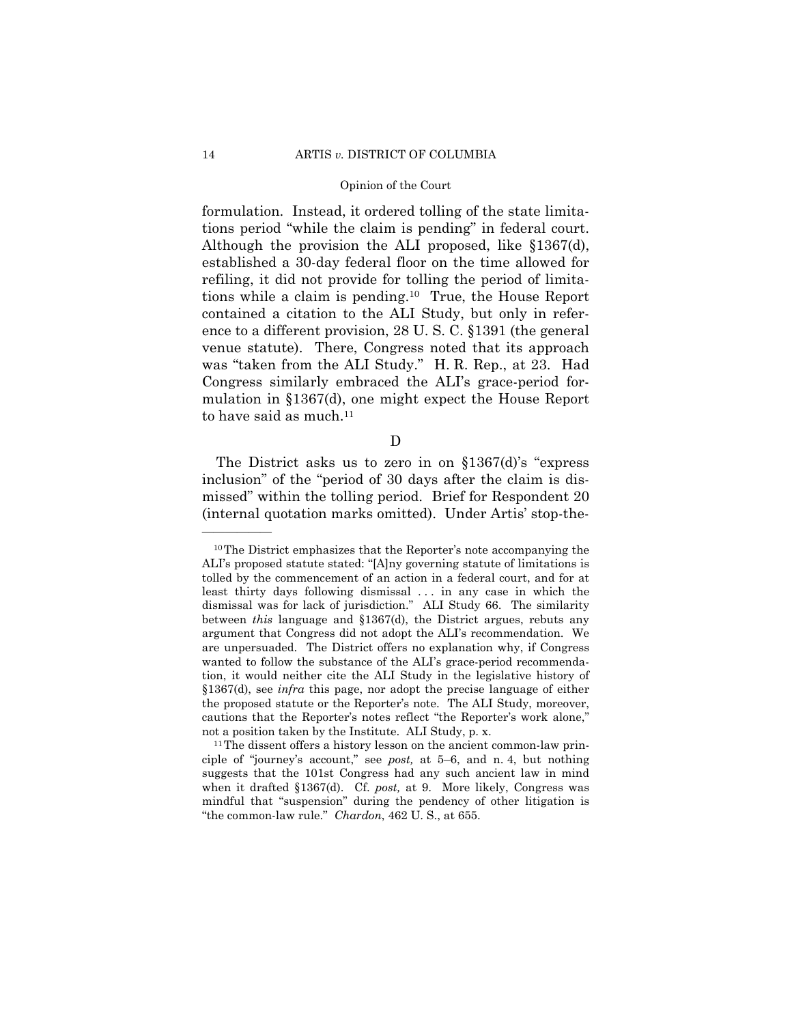was "taken from the ALI Study." H. R. Rep., at 23. Had formulation. Instead, it ordered tolling of the state limitations period "while the claim is pending" in federal court. Although the provision the ALI proposed, like §1367(d), established a 30-day federal floor on the time allowed for refiling, it did not provide for tolling the period of limitations while a claim is pending.10 True, the House Report contained a citation to the ALI Study, but only in reference to a different provision, 28 U. S. C. §1391 (the general venue statute). There, Congress noted that its approach Congress similarly embraced the ALI's grace-period formulation in §1367(d), one might expect the House Report to have said as much.<sup>11</sup>

# D

The District asks us to zero in on §1367(d)'s "express inclusion" of the "period of 30 days after the claim is dismissed" within the tolling period. Brief for Respondent 20 (internal quotation marks omitted). Under Artis' stop-the-

<sup>10</sup>The District emphasizes that the Reporter's note accompanying the ALI's proposed statute stated: "[A]ny governing statute of limitations is tolled by the commencement of an action in a federal court, and for at least thirty days following dismissal ... in any case in which the dismissal was for lack of jurisdiction." ALI Study 66. The similarity between *this* language and §1367(d), the District argues, rebuts any argument that Congress did not adopt the ALI's recommendation. We are unpersuaded. The District offers no explanation why, if Congress wanted to follow the substance of the ALI's grace-period recommendation, it would neither cite the ALI Study in the legislative history of §1367(d), see *infra* this page, nor adopt the precise language of either the proposed statute or the Reporter's note. The ALI Study, moreover, cautions that the Reporter's notes reflect "the Reporter's work alone," not a position taken by the Institute. ALI Study, p. x.<br><sup>11</sup>The dissent offers a history lesson on the ancient common-law prin-

ciple of "journey's account," see *post,* at 5–6, and n. 4, but nothing suggests that the 101st Congress had any such ancient law in mind when it drafted §1367(d). Cf. *post,* at 9. More likely, Congress was mindful that "suspension" during the pendency of other litigation is "the common-law rule." *Chardon*, 462 U. S., at 655.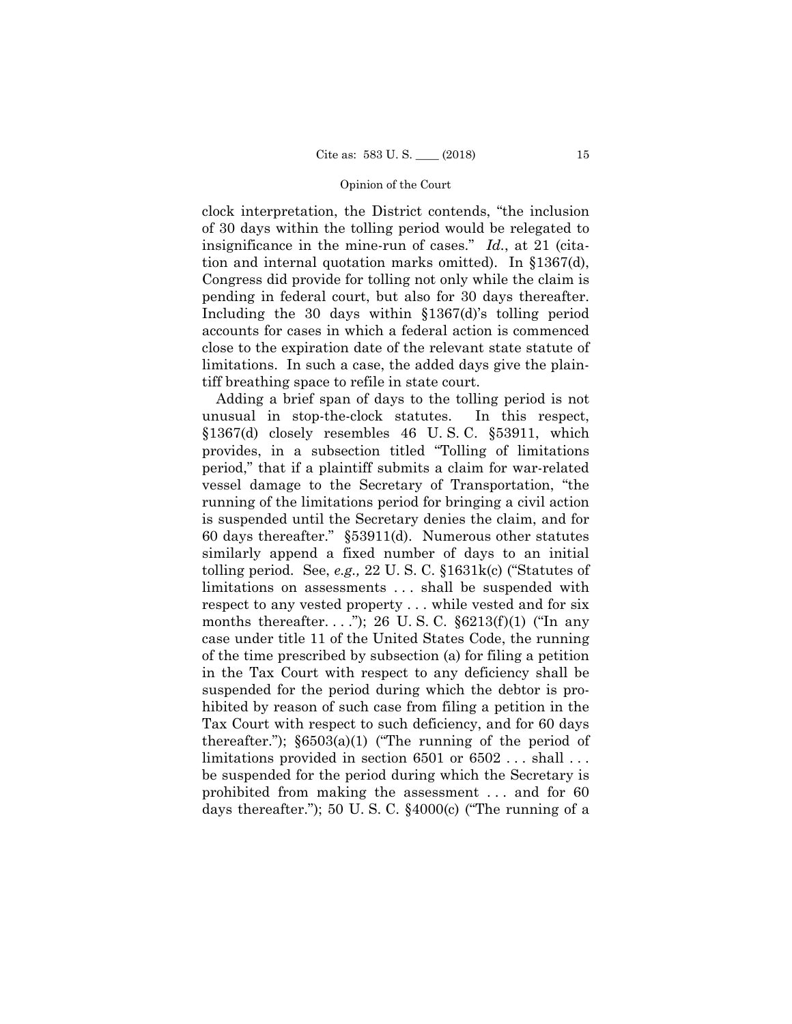clock interpretation, the District contends, "the inclusion of 30 days within the tolling period would be relegated to insignificance in the mine-run of cases." *Id.*, at 21 (citation and internal quotation marks omitted). In §1367(d), Congress did provide for tolling not only while the claim is pending in federal court, but also for 30 days thereafter. Including the 30 days within §1367(d)'s tolling period accounts for cases in which a federal action is commenced close to the expiration date of the relevant state statute of limitations. In such a case, the added days give the plaintiff breathing space to refile in state court.

Adding a brief span of days to the tolling period is not unusual in stop-the-clock statutes. In this respect, §1367(d) closely resembles 46 U. S. C. §53911, which provides, in a subsection titled "Tolling of limitations period," that if a plaintiff submits a claim for war-related vessel damage to the Secretary of Transportation, "the running of the limitations period for bringing a civil action is suspended until the Secretary denies the claim, and for 60 days thereafter." §53911(d). Numerous other statutes similarly append a fixed number of days to an initial tolling period. See, *e.g.,* 22 U. S. C. §1631k(c) ("Statutes of limitations on assessments . . . shall be suspended with respect to any vested property . . . while vested and for six months thereafter...."); 26 U.S.C.  $\S 6213(f)(1)$  ("In any case under title 11 of the United States Code, the running of the time prescribed by subsection (a) for filing a petition in the Tax Court with respect to any deficiency shall be suspended for the period during which the debtor is prohibited by reason of such case from filing a petition in the Tax Court with respect to such deficiency, and for 60 days thereafter.");  $\S 6503(a)(1)$  ("The running of the period of limitations provided in section 6501 or 6502 . . . shall . . . be suspended for the period during which the Secretary is prohibited from making the assessment . . . and for 60 days thereafter."); 50 U. S. C. §4000(c) ("The running of a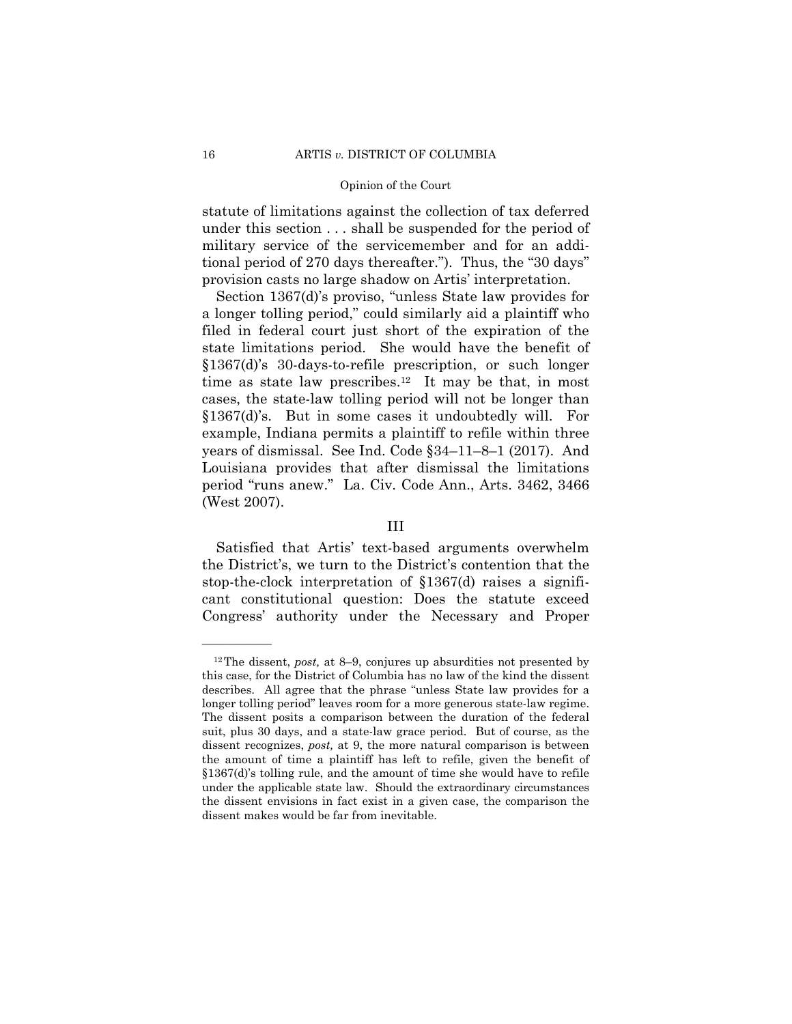statute of limitations against the collection of tax deferred under this section . . . shall be suspended for the period of military service of the servicemember and for an additional period of 270 days thereafter."). Thus, the "30 days" provision casts no large shadow on Artis' interpretation.

Section 1367(d)'s proviso, "unless State law provides for a longer tolling period," could similarly aid a plaintiff who filed in federal court just short of the expiration of the state limitations period. She would have the benefit of §1367(d)'s 30-days-to-refile prescription, or such longer time as state law prescribes.<sup>12</sup> It may be that, in most cases, the state-law tolling period will not be longer than §1367(d)'s. But in some cases it undoubtedly will. For example, Indiana permits a plaintiff to refile within three years of dismissal. See Ind. Code §34–11–8–1 (2017). And Louisiana provides that after dismissal the limitations period "runs anew." La. Civ. Code Ann., Arts. 3462, 3466 (West 2007).

# III

Satisfied that Artis' text-based arguments overwhelm the District's, we turn to the District's contention that the stop-the-clock interpretation of §1367(d) raises a significant constitutional question: Does the statute exceed Congress' authority under the Necessary and Proper

 under the applicable state law. Should the extraordinary circumstances 12The dissent, *post,* at 8–9, conjures up absurdities not presented by this case, for the District of Columbia has no law of the kind the dissent describes. All agree that the phrase "unless State law provides for a longer tolling period" leaves room for a more generous state-law regime. The dissent posits a comparison between the duration of the federal suit, plus 30 days, and a state-law grace period. But of course, as the dissent recognizes, *post,* at 9, the more natural comparison is between the amount of time a plaintiff has left to refile, given the benefit of §1367(d)'s tolling rule, and the amount of time she would have to refile the dissent envisions in fact exist in a given case, the comparison the dissent makes would be far from inevitable.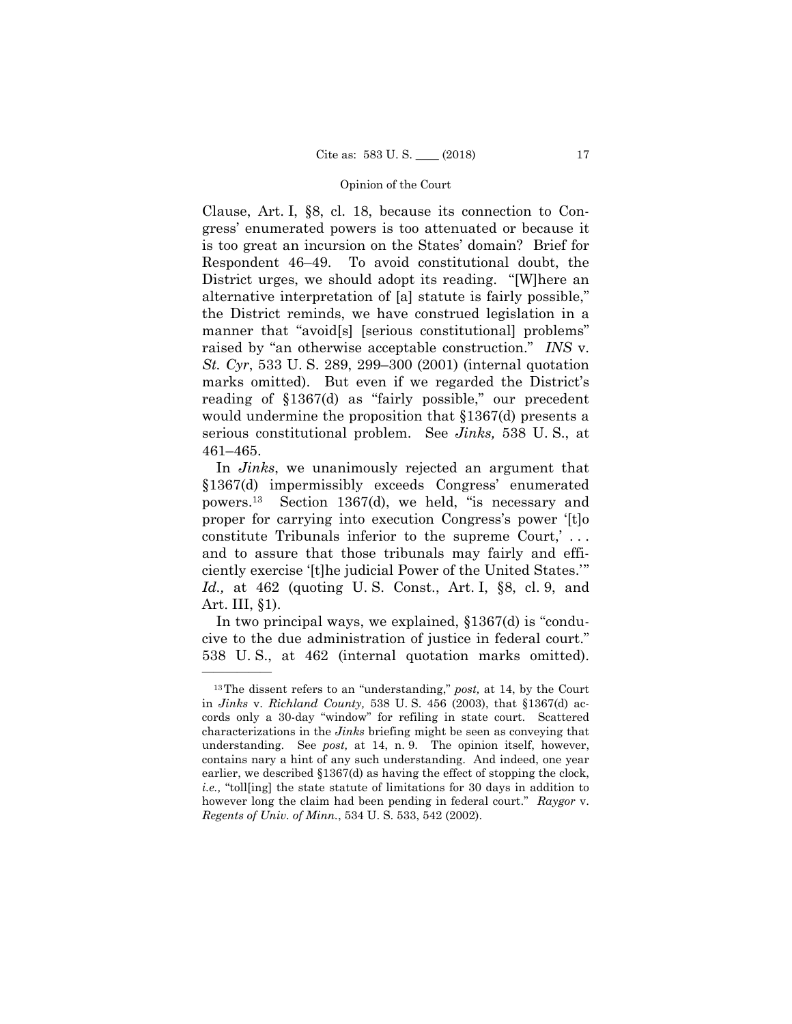Clause, Art. I, §8, cl. 18, because its connection to Congress' enumerated powers is too attenuated or because it is too great an incursion on the States' domain? Brief for Respondent 46–49. To avoid constitutional doubt, the District urges, we should adopt its reading. "[W]here an alternative interpretation of [a] statute is fairly possible," the District reminds, we have construed legislation in a manner that "avoid[s] [serious constitutional] problems" raised by "an otherwise acceptable construction." *INS* v. *St. Cyr*, 533 U. S. 289, 299–300 (2001) (internal quotation marks omitted). But even if we regarded the District's reading of §1367(d) as "fairly possible," our precedent would undermine the proposition that §1367(d) presents a serious constitutional problem. See *Jinks,* 538 U. S., at 461–465.

In *Jinks*, we unanimously rejected an argument that §1367(d) impermissibly exceeds Congress' enumerated powers.13 Section 1367(d), we held, "is necessary and proper for carrying into execution Congress's power '[t]o constitute Tribunals inferior to the supreme Court,' . . . and to assure that those tribunals may fairly and efficiently exercise '[t]he judicial Power of the United States.'" *Id.,* at 462 (quoting U. S. Const., Art. I, §8, cl. 9, and Art. III, §1).

In two principal ways, we explained, §1367(d) is "conducive to the due administration of justice in federal court." 538 U. S., at 462 (internal quotation marks omitted).

 understanding. See *post,* at 14, n. 9. The opinion itself, however, 13The dissent refers to an "understanding," *post,* at 14, by the Court in *Jinks* v. *Richland County,* 538 U. S. 456 (2003), that §1367(d) accords only a 30-day "window" for refiling in state court. Scattered characterizations in the *Jinks* briefing might be seen as conveying that contains nary a hint of any such understanding. And indeed, one year earlier, we described §1367(d) as having the effect of stopping the clock, *i.e.,* "toll[ing] the state statute of limitations for 30 days in addition to however long the claim had been pending in federal court." *Raygor* v. *Regents of Univ. of Minn.*, 534 U. S. 533, 542 (2002).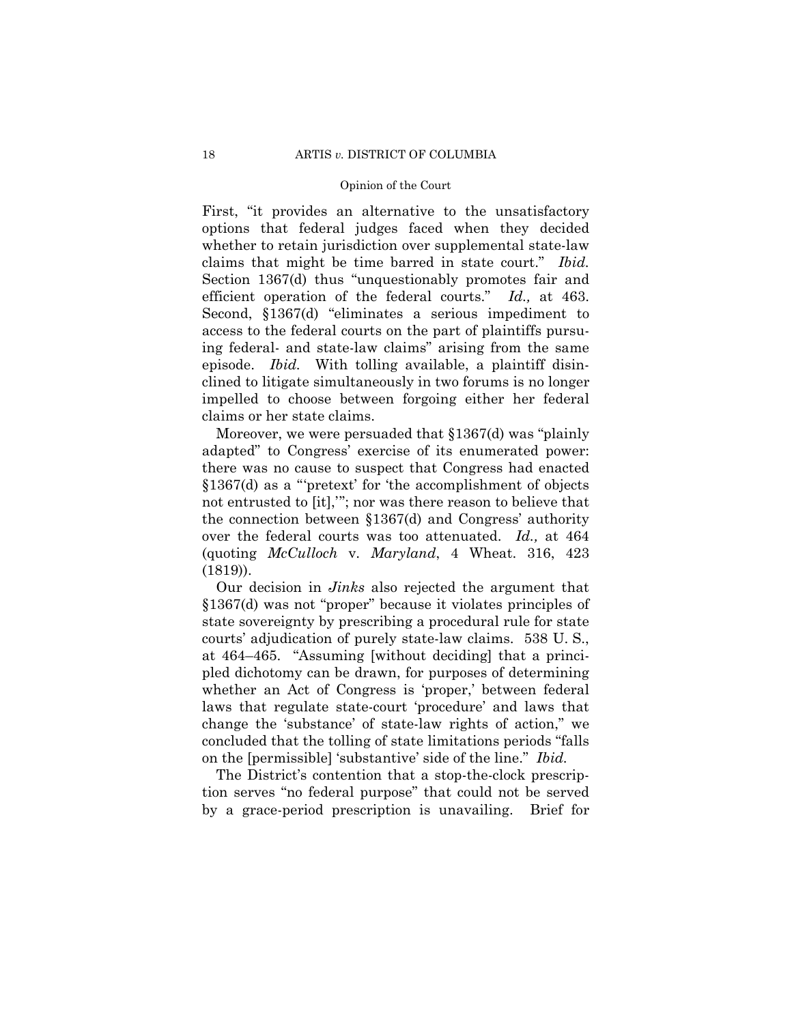First, "it provides an alternative to the unsatisfactory options that federal judges faced when they decided whether to retain jurisdiction over supplemental state-law claims that might be time barred in state court." *Ibid.* Section 1367(d) thus "unquestionably promotes fair and efficient operation of the federal courts." *Id.,* at 463. Second, §1367(d) "eliminates a serious impediment to access to the federal courts on the part of plaintiffs pursuing federal- and state-law claims" arising from the same episode. *Ibid.* With tolling available, a plaintiff disinclined to litigate simultaneously in two forums is no longer impelled to choose between forgoing either her federal claims or her state claims.

Moreover, we were persuaded that §1367(d) was "plainly adapted" to Congress' exercise of its enumerated power: there was no cause to suspect that Congress had enacted §1367(d) as a "'pretext' for 'the accomplishment of objects not entrusted to [it],'"; nor was there reason to believe that the connection between §1367(d) and Congress' authority over the federal courts was too attenuated. *Id.,* at 464 (quoting *McCulloch* v. *Maryland*, 4 Wheat. 316, 423 (1819)).

 Our decision in *Jinks* also rejected the argument that §1367(d) was not "proper" because it violates principles of state sovereignty by prescribing a procedural rule for state courts' adjudication of purely state-law claims. 538 U. S., at 464–465. "Assuming [without deciding] that a principled dichotomy can be drawn, for purposes of determining whether an Act of Congress is 'proper,' between federal laws that regulate state-court 'procedure' and laws that change the 'substance' of state-law rights of action," we concluded that the tolling of state limitations periods "falls on the [permissible] 'substantive' side of the line." *Ibid.* 

The District's contention that a stop-the-clock prescription serves "no federal purpose" that could not be served by a grace-period prescription is unavailing. Brief for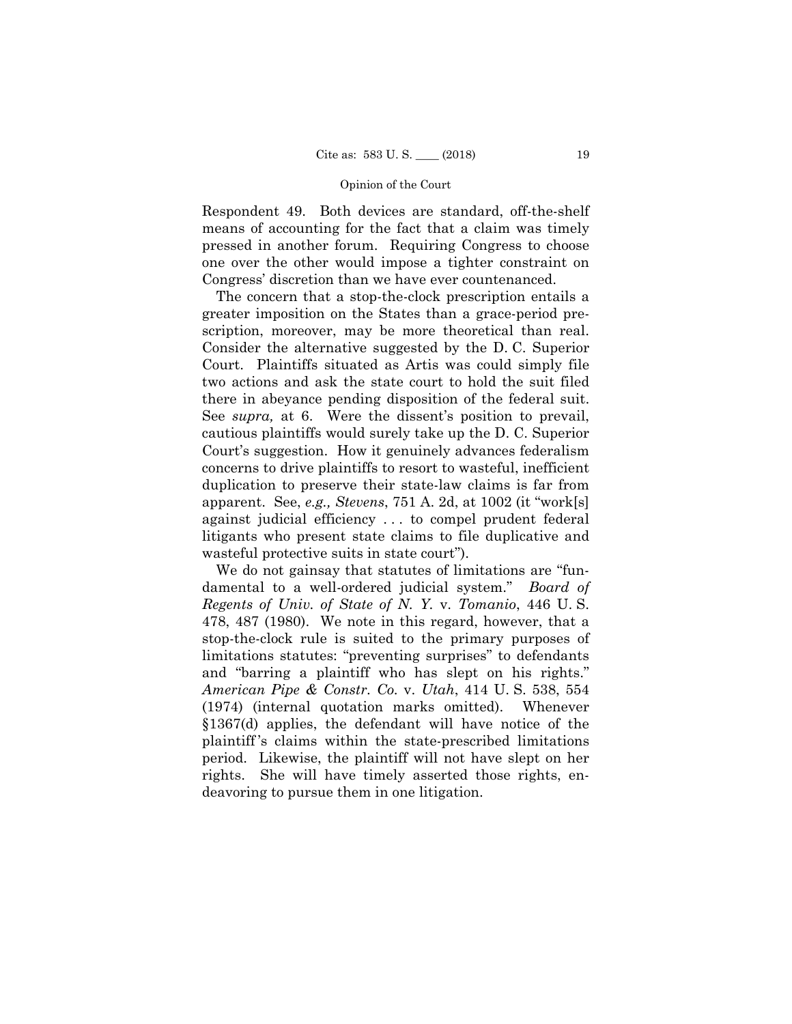Respondent 49. Both devices are standard, off-the-shelf means of accounting for the fact that a claim was timely pressed in another forum. Requiring Congress to choose one over the other would impose a tighter constraint on Congress' discretion than we have ever countenanced.

 scription, moreover, may be more theoretical than real. The concern that a stop-the-clock prescription entails a greater imposition on the States than a grace-period pre-Consider the alternative suggested by the D. C. Superior Court. Plaintiffs situated as Artis was could simply file two actions and ask the state court to hold the suit filed there in abeyance pending disposition of the federal suit. See *supra,* at 6. Were the dissent's position to prevail, cautious plaintiffs would surely take up the D. C. Superior Court's suggestion. How it genuinely advances federalism concerns to drive plaintiffs to resort to wasteful, inefficient duplication to preserve their state-law claims is far from apparent. See, *e.g., Stevens*, 751 A. 2d, at 1002 (it "work[s] against judicial efficiency . . . to compel prudent federal litigants who present state claims to file duplicative and wasteful protective suits in state court").

 §1367(d) applies, the defendant will have notice of the We do not gainsay that statutes of limitations are "fundamental to a well-ordered judicial system." *Board of Regents of Univ. of State of N. Y.* v. *Tomanio*, 446 U. S. 478, 487 (1980). We note in this regard, however, that a stop-the-clock rule is suited to the primary purposes of limitations statutes: "preventing surprises" to defendants and "barring a plaintiff who has slept on his rights." *American Pipe & Constr. Co.* v. *Utah*, 414 U. S. 538, 554 (1974) (internal quotation marks omitted). Whenever plaintiff 's claims within the state-prescribed limitations period. Likewise, the plaintiff will not have slept on her rights. She will have timely asserted those rights, endeavoring to pursue them in one litigation.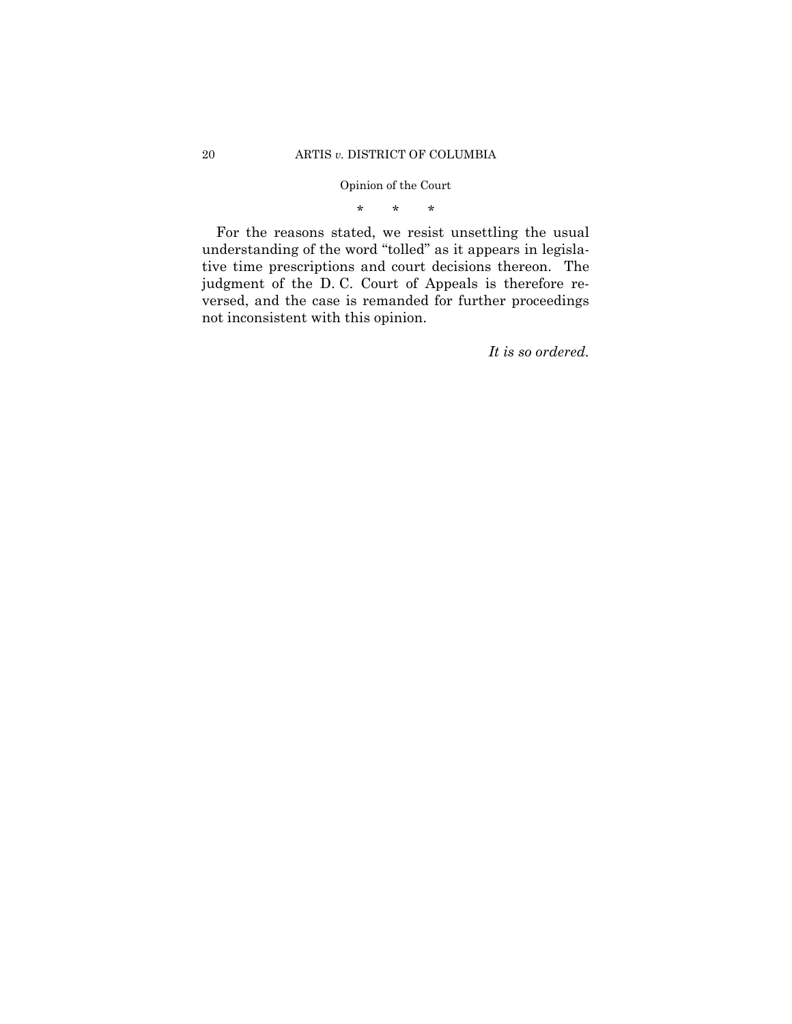\* \* \*

For the reasons stated, we resist unsettling the usual understanding of the word "tolled" as it appears in legislative time prescriptions and court decisions thereon. The judgment of the D. C. Court of Appeals is therefore reversed, and the case is remanded for further proceedings not inconsistent with this opinion.

*It is so ordered.*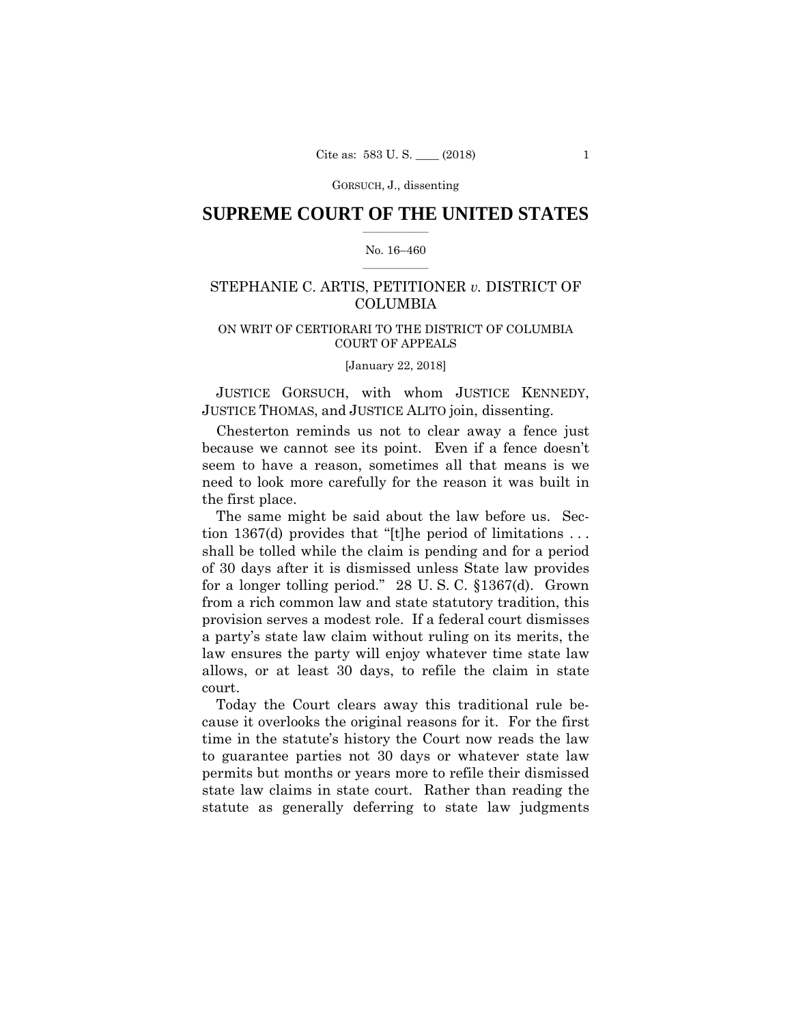# $\frac{1}{2}$  ,  $\frac{1}{2}$  ,  $\frac{1}{2}$  ,  $\frac{1}{2}$  ,  $\frac{1}{2}$  ,  $\frac{1}{2}$  ,  $\frac{1}{2}$ **SUPREME COURT OF THE UNITED STATES**

#### $\frac{1}{2}$  ,  $\frac{1}{2}$  ,  $\frac{1}{2}$  ,  $\frac{1}{2}$  ,  $\frac{1}{2}$  ,  $\frac{1}{2}$ No. 16–460

# STEPHANIE C. ARTIS, PETITIONER *v.* DISTRICT OF COLUMBIA

# ON WRIT OF CERTIORARI TO THE DISTRICT OF COLUMBIA COURT OF APPEALS

[January 22, 2018]

 JUSTICE THOMAS, and JUSTICE ALITO join, dissenting. JUSTICE GORSUCH, with whom JUSTICE KENNEDY,

Chesterton reminds us not to clear away a fence just because we cannot see its point. Even if a fence doesn't seem to have a reason, sometimes all that means is we need to look more carefully for the reason it was built in the first place.

The same might be said about the law before us. Section 1367(d) provides that "[t]he period of limitations . . . shall be tolled while the claim is pending and for a period of 30 days after it is dismissed unless State law provides for a longer tolling period." 28 U. S. C. §1367(d). Grown from a rich common law and state statutory tradition, this provision serves a modest role. If a federal court dismisses a party's state law claim without ruling on its merits, the law ensures the party will enjoy whatever time state law allows, or at least 30 days, to refile the claim in state court.

Today the Court clears away this traditional rule because it overlooks the original reasons for it. For the first time in the statute's history the Court now reads the law to guarantee parties not 30 days or whatever state law permits but months or years more to refile their dismissed state law claims in state court. Rather than reading the statute as generally deferring to state law judgments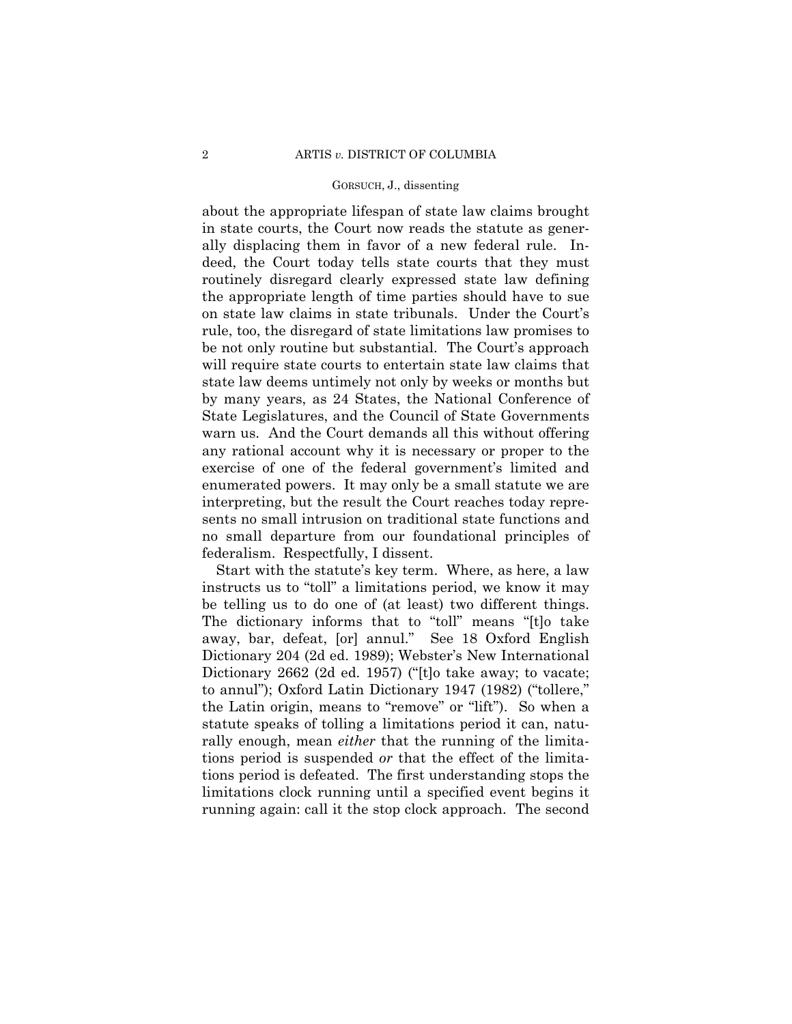about the appropriate lifespan of state law claims brought in state courts, the Court now reads the statute as generally displacing them in favor of a new federal rule. Indeed, the Court today tells state courts that they must routinely disregard clearly expressed state law defining the appropriate length of time parties should have to sue on state law claims in state tribunals. Under the Court's rule, too, the disregard of state limitations law promises to be not only routine but substantial. The Court's approach will require state courts to entertain state law claims that state law deems untimely not only by weeks or months but by many years, as 24 States, the National Conference of State Legislatures, and the Council of State Governments warn us. And the Court demands all this without offering any rational account why it is necessary or proper to the exercise of one of the federal government's limited and enumerated powers. It may only be a small statute we are interpreting, but the result the Court reaches today represents no small intrusion on traditional state functions and no small departure from our foundational principles of federalism. Respectfully, I dissent.

Start with the statute's key term. Where, as here, a law instructs us to "toll" a limitations period, we know it may be telling us to do one of (at least) two different things. The dictionary informs that to "toll" means "[t]o take away, bar, defeat, [or] annul." See 18 Oxford English Dictionary 204 (2d ed. 1989); Webster's New International Dictionary 2662 (2d ed. 1957) ("[t]o take away; to vacate; to annul"); Oxford Latin Dictionary 1947 (1982) ("tollere," the Latin origin, means to "remove" or "lift"). So when a statute speaks of tolling a limitations period it can, naturally enough, mean *either* that the running of the limitations period is suspended *or* that the effect of the limitations period is defeated. The first understanding stops the limitations clock running until a specified event begins it running again: call it the stop clock approach. The second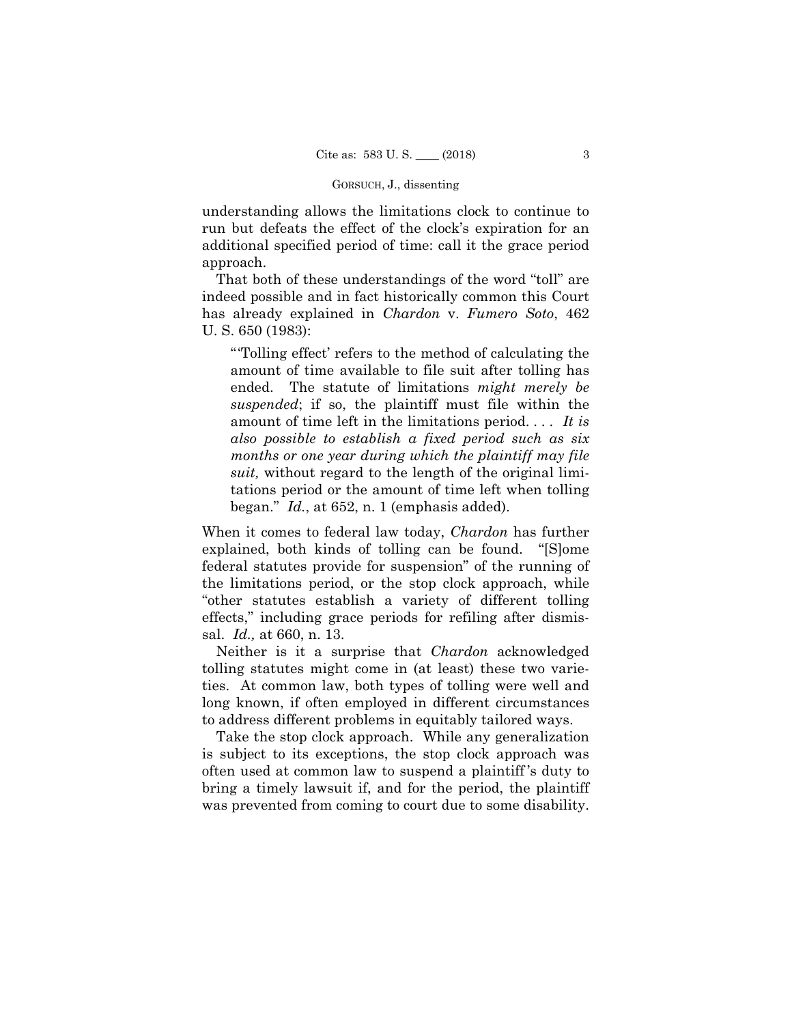understanding allows the limitations clock to continue to run but defeats the effect of the clock's expiration for an additional specified period of time: call it the grace period approach.

That both of these understandings of the word "toll" are indeed possible and in fact historically common this Court has already explained in *Chardon* v. *Fumero Soto*, 462 U. S. 650 (1983):

"'Tolling effect' refers to the method of calculating the amount of time available to file suit after tolling has ended. The statute of limitations *might merely be suspended*; if so, the plaintiff must file within the amount of time left in the limitations period. . . . *It is also possible to establish a fixed period such as six months or one year during which the plaintiff may file suit,* without regard to the length of the original limitations period or the amount of time left when tolling began." *Id.*, at 652, n. 1 (emphasis added).

When it comes to federal law today, *Chardon* has further explained, both kinds of tolling can be found. "[S]ome federal statutes provide for suspension" of the running of the limitations period, or the stop clock approach, while "other statutes establish a variety of different tolling effects," including grace periods for refiling after dismissal. *Id.,* at 660, n. 13.

Neither is it a surprise that *Chardon* acknowledged tolling statutes might come in (at least) these two varieties. At common law, both types of tolling were well and long known, if often employed in different circumstances to address different problems in equitably tailored ways.

Take the stop clock approach. While any generalization is subject to its exceptions, the stop clock approach was often used at common law to suspend a plaintiff 's duty to bring a timely lawsuit if, and for the period, the plaintiff was prevented from coming to court due to some disability.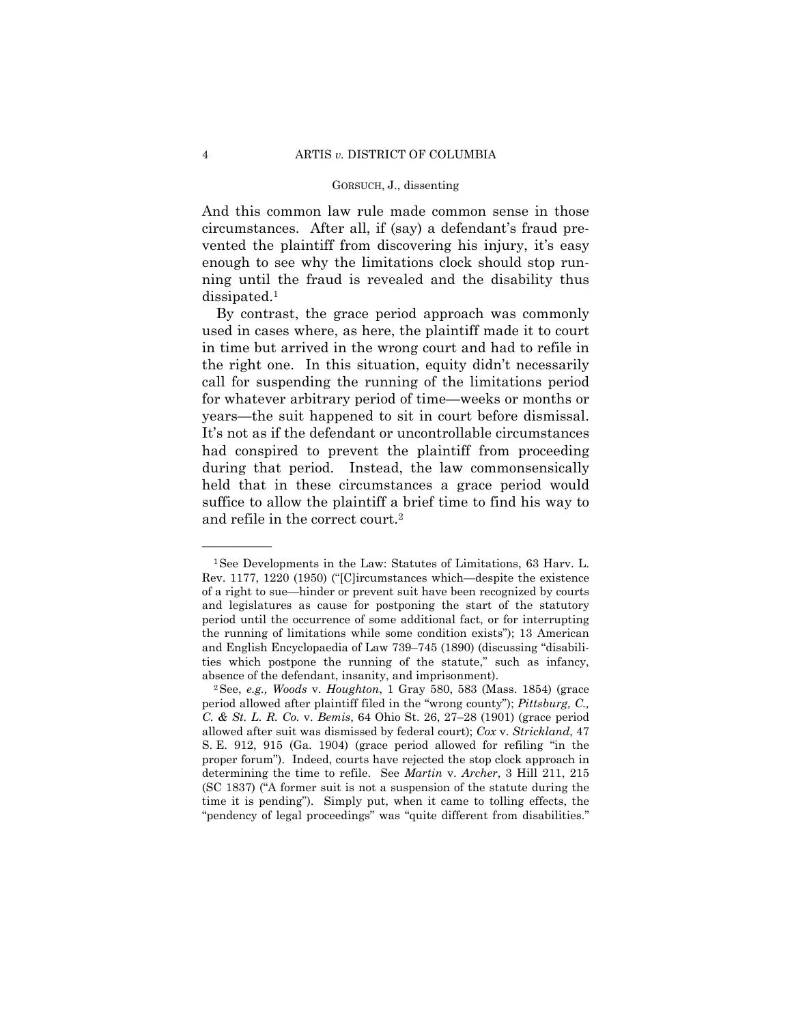And this common law rule made common sense in those circumstances. After all, if (say) a defendant's fraud prevented the plaintiff from discovering his injury, it's easy enough to see why the limitations clock should stop running until the fraud is revealed and the disability thus dissipated.1

 years—the suit happened to sit in court before dismissal. By contrast, the grace period approach was commonly used in cases where, as here, the plaintiff made it to court in time but arrived in the wrong court and had to refile in the right one. In this situation, equity didn't necessarily call for suspending the running of the limitations period for whatever arbitrary period of time—weeks or months or It's not as if the defendant or uncontrollable circumstances had conspired to prevent the plaintiff from proceeding during that period. Instead, the law commonsensically held that in these circumstances a grace period would suffice to allow the plaintiff a brief time to find his way to and refile in the correct court.2

<sup>1</sup>See Developments in the Law: Statutes of Limitations, 63 Harv. L. Rev. 1177, 1220 (1950) ("[C]ircumstances which—despite the existence of a right to sue—hinder or prevent suit have been recognized by courts and legislatures as cause for postponing the start of the statutory period until the occurrence of some additional fact, or for interrupting the running of limitations while some condition exists"); 13 American and English Encyclopaedia of Law 739–745 (1890) (discussing "disabilities which postpone the running of the statute," such as infancy,

absence of the defendant, insanity, and imprisonment). 2See, *e.g., Woods* v. *Houghton*, 1 Gray 580, 583 (Mass. 1854) (grace period allowed after plaintiff filed in the "wrong county"); *Pittsburg, C., C. & St. L. R. Co.* v. *Bemis*, 64 Ohio St. 26, 27–28 (1901) (grace period allowed after suit was dismissed by federal court); *Cox* v. *Strickland*, 47 S. E. 912, 915 (Ga. 1904) (grace period allowed for refiling "in the proper forum"). Indeed, courts have rejected the stop clock approach in determining the time to refile. See *Martin* v. *Archer*, 3 Hill 211, 215 (SC 1837) ("A former suit is not a suspension of the statute during the time it is pending"). Simply put, when it came to tolling effects, the "pendency of legal proceedings" was "quite different from disabilities."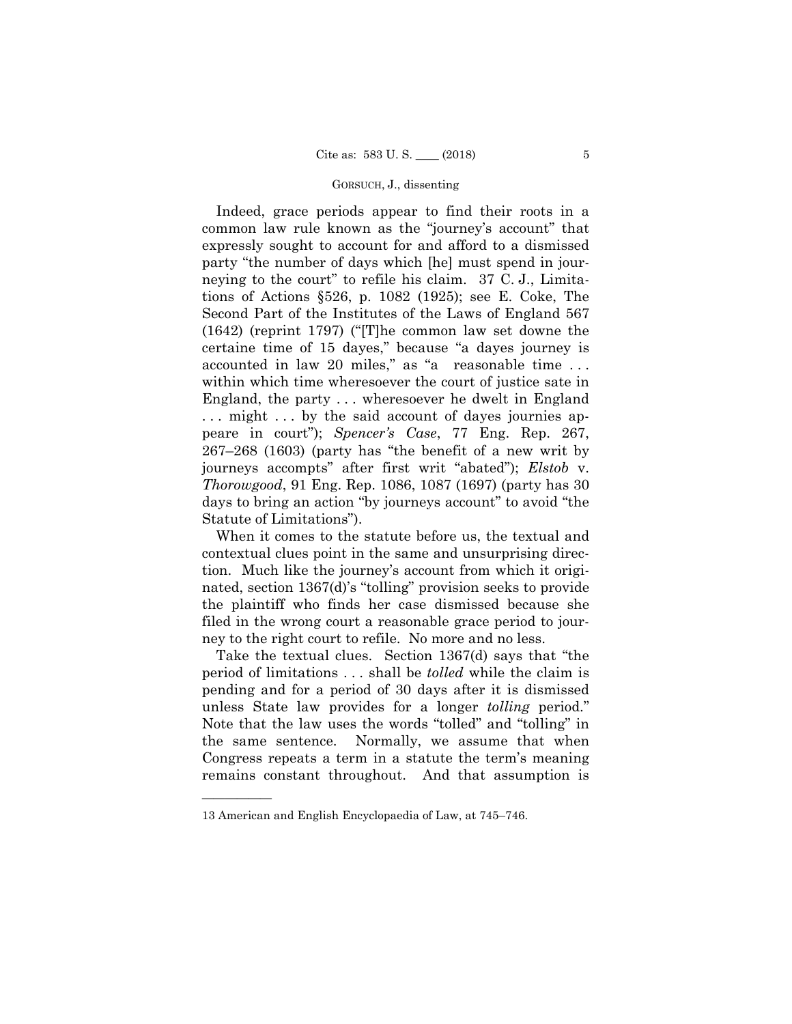Indeed, grace periods appear to find their roots in a common law rule known as the "journey's account" that expressly sought to account for and afford to a dismissed party "the number of days which [he] must spend in journeying to the court" to refile his claim. 37 C. J., Limitations of Actions §526, p. 1082 (1925); see E. Coke, The Second Part of the Institutes of the Laws of England 567 (1642) (reprint 1797) ("[T]he common law set downe the certaine time of 15 dayes," because "a dayes journey is accounted in law 20 miles," as "a reasonable time . . . within which time wheresoever the court of justice sate in England, the party . . . wheresoever he dwelt in England ... might ... by the said account of dayes journies appeare in court"); *Spencer's Case*, 77 Eng. Rep. 267, 267–268 (1603) (party has "the benefit of a new writ by journeys accompts" after first writ "abated"); *Elstob* v. *Thorowgood*, 91 Eng. Rep. 1086, 1087 (1697) (party has 30 days to bring an action "by journeys account" to avoid "the Statute of Limitations").

When it comes to the statute before us, the textual and contextual clues point in the same and unsurprising direction. Much like the journey's account from which it originated, section 1367(d)'s "tolling" provision seeks to provide the plaintiff who finds her case dismissed because she filed in the wrong court a reasonable grace period to journey to the right court to refile. No more and no less.

Take the textual clues. Section 1367(d) says that "the period of limitations . . . shall be *tolled* while the claim is pending and for a period of 30 days after it is dismissed unless State law provides for a longer *tolling* period." Note that the law uses the words "tolled" and "tolling" in the same sentence. Normally, we assume that when Congress repeats a term in a statute the term's meaning remains constant throughout. And that assumption is

<sup>13</sup> American and English Encyclopaedia of Law, at 745–746.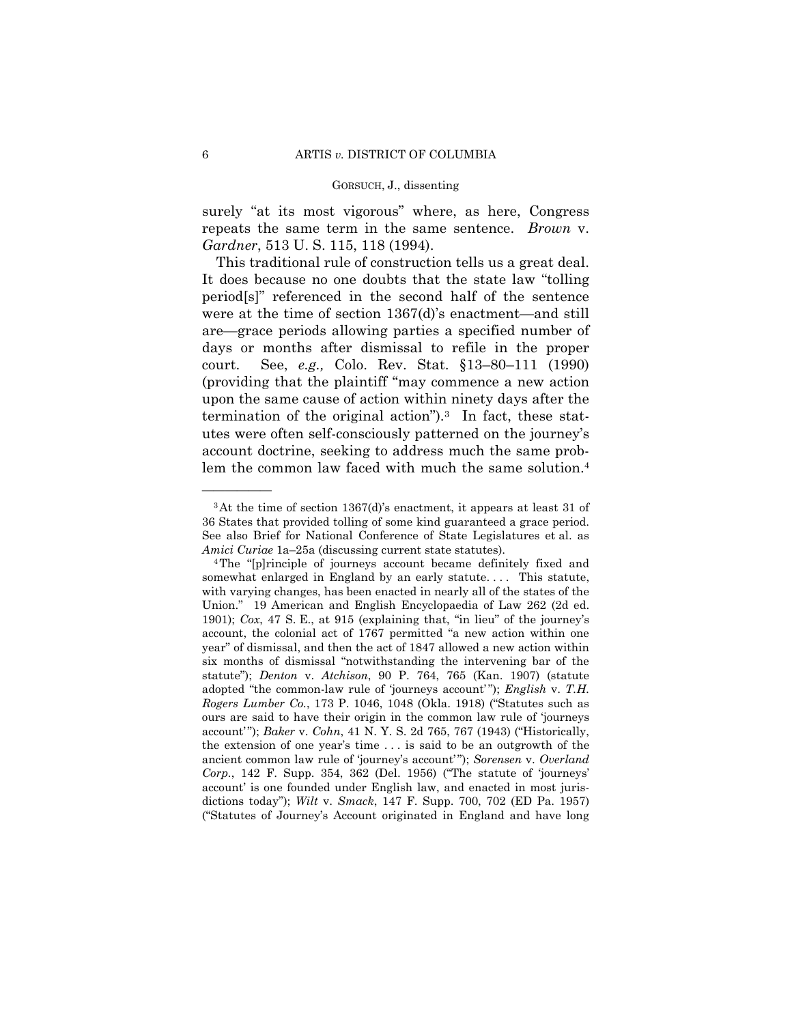surely "at its most vigorous" where, as here, Congress repeats the same term in the same sentence. *Brown* v. *Gardner*, 513 U. S. 115, 118 (1994).

This traditional rule of construction tells us a great deal. It does because no one doubts that the state law "tolling period[s]" referenced in the second half of the sentence were at the time of section 1367(d)'s enactment—and still are—grace periods allowing parties a specified number of days or months after dismissal to refile in the proper court. See, *e.g.,* Colo. Rev. Stat. §13–80–111 (1990) (providing that the plaintiff "may commence a new action upon the same cause of action within ninety days after the termination of the original action").3 In fact, these statutes were often self-consciously patterned on the journey's account doctrine, seeking to address much the same problem the common law faced with much the same solution.4

<sup>3</sup>At the time of section 1367(d)'s enactment, it appears at least 31 of 36 States that provided tolling of some kind guaranteed a grace period. See also Brief for National Conference of State Legislatures et al. as *Amici Curiae* 1a–25a (discussing current state statutes).<br><sup>4</sup>The "[p]rinciple of journeys account became definitely fixed and

somewhat enlarged in England by an early statute.... This statute, with varying changes, has been enacted in nearly all of the states of the Union." 19 American and English Encyclopaedia of Law 262 (2d ed. 1901); *Cox*, 47 S. E., at 915 (explaining that, "in lieu" of the journey's account, the colonial act of 1767 permitted "a new action within one year" of dismissal, and then the act of 1847 allowed a new action within six months of dismissal "notwithstanding the intervening bar of the statute"); *Denton* v. *Atchison*, 90 P. 764, 765 (Kan. 1907) (statute adopted "the common-law rule of 'journeys account'"); *English* v. T.H. *Rogers Lumber Co.*, 173 P. 1046, 1048 (Okla. 1918) ("Statutes such as ours are said to have their origin in the common law rule of 'journeys account'"); *Baker* v. *Cohn*, 41 N.Y. S. 2d 765, 767 (1943) ("Historically, the extension of one year's time . . . is said to be an outgrowth of the ancient common law rule of 'journey's account' "); *Sorensen* v. *Overland Corp.*, 142 F. Supp. 354, 362 (Del. 1956) ("The statute of 'journeys' account' is one founded under English law, and enacted in most jurisdictions today"); *Wilt* v. *Smack*, 147 F. Supp. 700, 702 (ED Pa. 1957) ("Statutes of Journey's Account originated in England and have long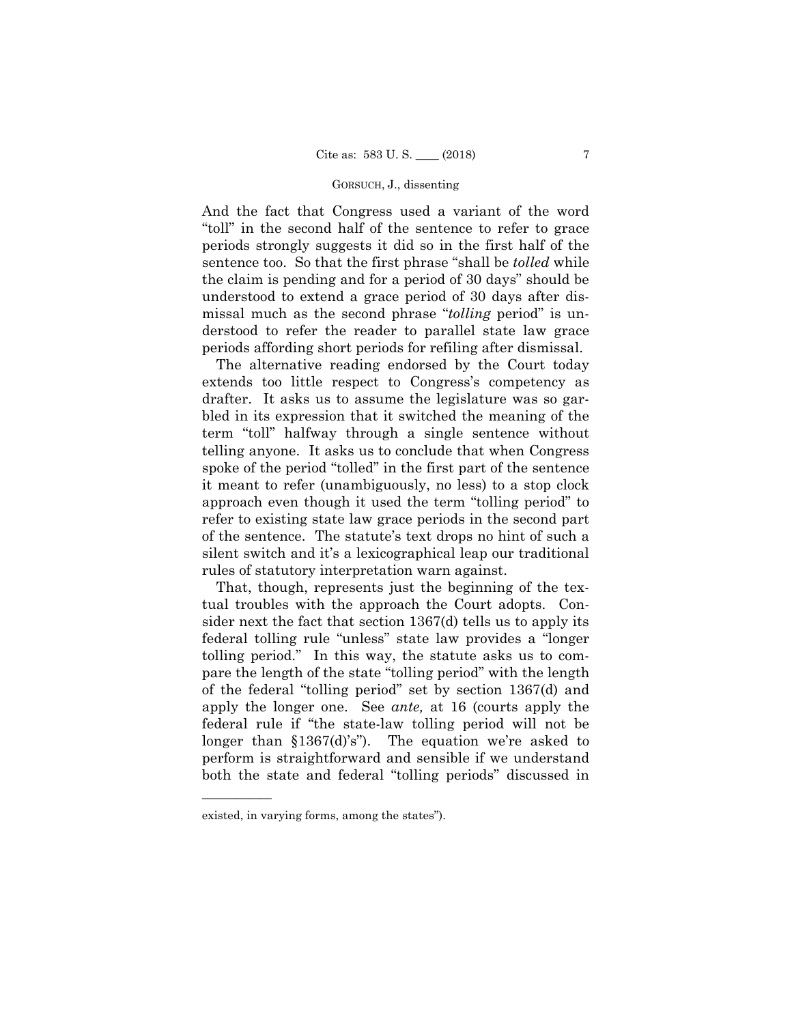And the fact that Congress used a variant of the word "toll" in the second half of the sentence to refer to grace periods strongly suggests it did so in the first half of the sentence too. So that the first phrase "shall be *tolled* while the claim is pending and for a period of 30 days" should be understood to extend a grace period of 30 days after dismissal much as the second phrase "*tolling* period" is understood to refer the reader to parallel state law grace periods affording short periods for refiling after dismissal.

The alternative reading endorsed by the Court today extends too little respect to Congress's competency as drafter. It asks us to assume the legislature was so garbled in its expression that it switched the meaning of the term "toll" halfway through a single sentence without telling anyone. It asks us to conclude that when Congress spoke of the period "tolled" in the first part of the sentence it meant to refer (unambiguously, no less) to a stop clock approach even though it used the term "tolling period" to refer to existing state law grace periods in the second part of the sentence. The statute's text drops no hint of such a silent switch and it's a lexicographical leap our traditional rules of statutory interpretation warn against.

That, though, represents just the beginning of the textual troubles with the approach the Court adopts. Consider next the fact that section 1367(d) tells us to apply its federal tolling rule "unless" state law provides a "longer tolling period." In this way, the statute asks us to compare the length of the state "tolling period" with the length of the federal "tolling period" set by section 1367(d) and apply the longer one. See *ante,* at 16 (courts apply the federal rule if "the state-law tolling period will not be longer than §1367(d)'s"). The equation we're asked to perform is straightforward and sensible if we understand both the state and federal "tolling periods" discussed in

existed, in varying forms, among the states").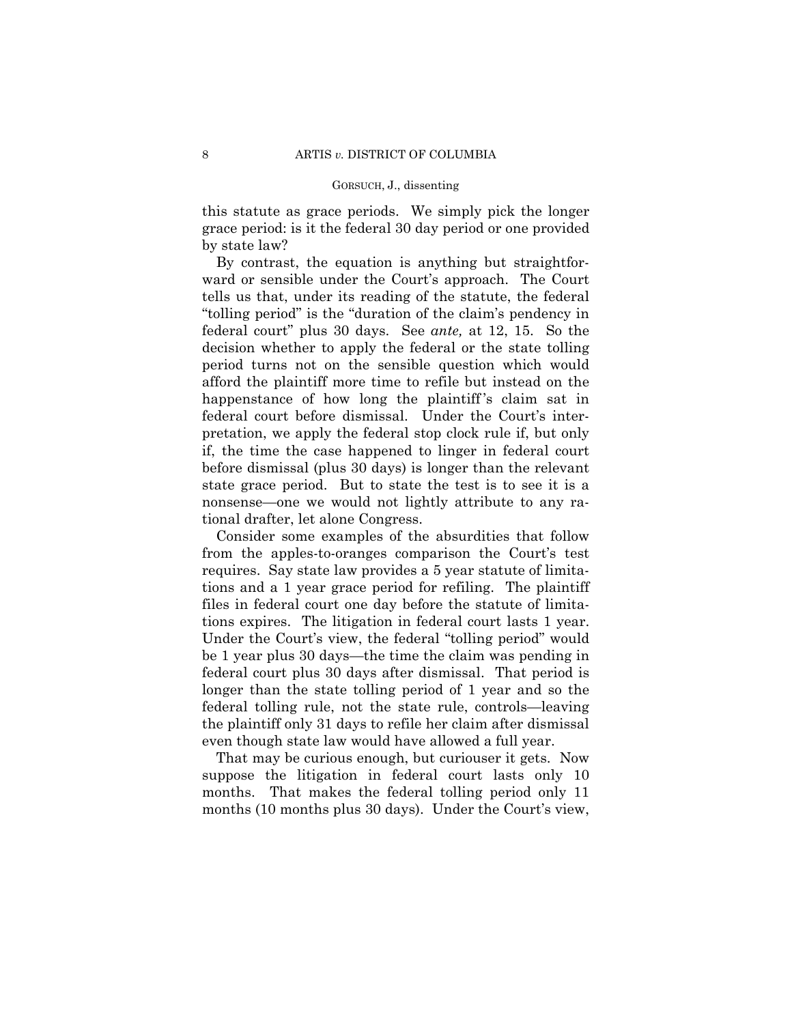this statute as grace periods. We simply pick the longer grace period: is it the federal 30 day period or one provided by state law?

By contrast, the equation is anything but straightforward or sensible under the Court's approach. The Court tells us that, under its reading of the statute, the federal "tolling period" is the "duration of the claim's pendency in federal court" plus 30 days. See *ante,* at 12, 15. So the decision whether to apply the federal or the state tolling period turns not on the sensible question which would afford the plaintiff more time to refile but instead on the happenstance of how long the plaintiff's claim sat in federal court before dismissal. Under the Court's interpretation, we apply the federal stop clock rule if, but only if, the time the case happened to linger in federal court before dismissal (plus 30 days) is longer than the relevant state grace period. But to state the test is to see it is a nonsense—one we would not lightly attribute to any rational drafter, let alone Congress.

Consider some examples of the absurdities that follow from the apples-to-oranges comparison the Court's test requires. Say state law provides a 5 year statute of limitations and a 1 year grace period for refiling. The plaintiff files in federal court one day before the statute of limitations expires. The litigation in federal court lasts 1 year. Under the Court's view, the federal "tolling period" would be 1 year plus 30 days—the time the claim was pending in federal court plus 30 days after dismissal. That period is longer than the state tolling period of 1 year and so the federal tolling rule, not the state rule, controls—leaving the plaintiff only 31 days to refile her claim after dismissal even though state law would have allowed a full year.

That may be curious enough, but curiouser it gets. Now suppose the litigation in federal court lasts only 10 months. That makes the federal tolling period only 11 months (10 months plus 30 days). Under the Court's view,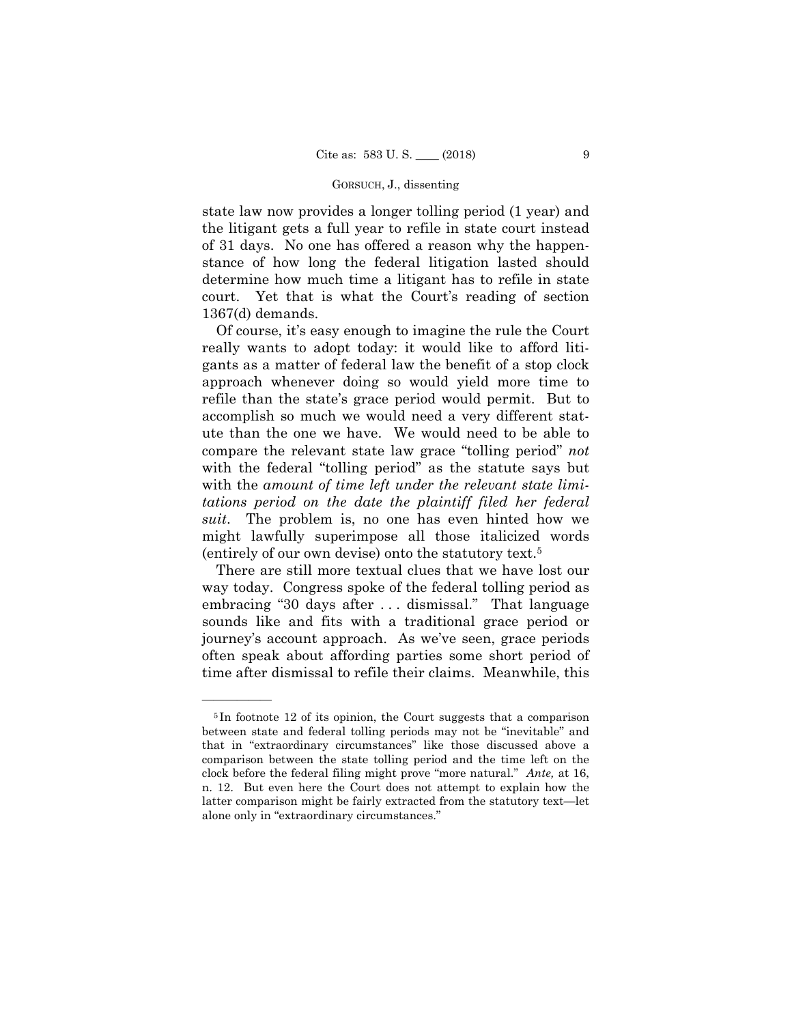state law now provides a longer tolling period (1 year) and the litigant gets a full year to refile in state court instead of 31 days. No one has offered a reason why the happenstance of how long the federal litigation lasted should determine how much time a litigant has to refile in state court. Yet that is what the Court's reading of section 1367(d) demands.

Of course, it's easy enough to imagine the rule the Court really wants to adopt today: it would like to afford litigants as a matter of federal law the benefit of a stop clock approach whenever doing so would yield more time to refile than the state's grace period would permit. But to accomplish so much we would need a very different statute than the one we have. We would need to be able to compare the relevant state law grace "tolling period" *not*  with the federal "tolling period" as the statute says but with the *amount of time left under the relevant state limitations period on the date the plaintiff filed her federal suit*. The problem is, no one has even hinted how we might lawfully superimpose all those italicized words (entirely of our own devise) onto the statutory text.5

There are still more textual clues that we have lost our way today. Congress spoke of the federal tolling period as embracing "30 days after . . . dismissal." That language sounds like and fits with a traditional grace period or journey's account approach. As we've seen, grace periods often speak about affording parties some short period of time after dismissal to refile their claims. Meanwhile, this

<sup>5</sup> In footnote 12 of its opinion, the Court suggests that a comparison between state and federal tolling periods may not be "inevitable" and that in "extraordinary circumstances" like those discussed above a comparison between the state tolling period and the time left on the clock before the federal filing might prove "more natural." *Ante,* at 16, n. 12. But even here the Court does not attempt to explain how the latter comparison might be fairly extracted from the statutory text—let alone only in "extraordinary circumstances."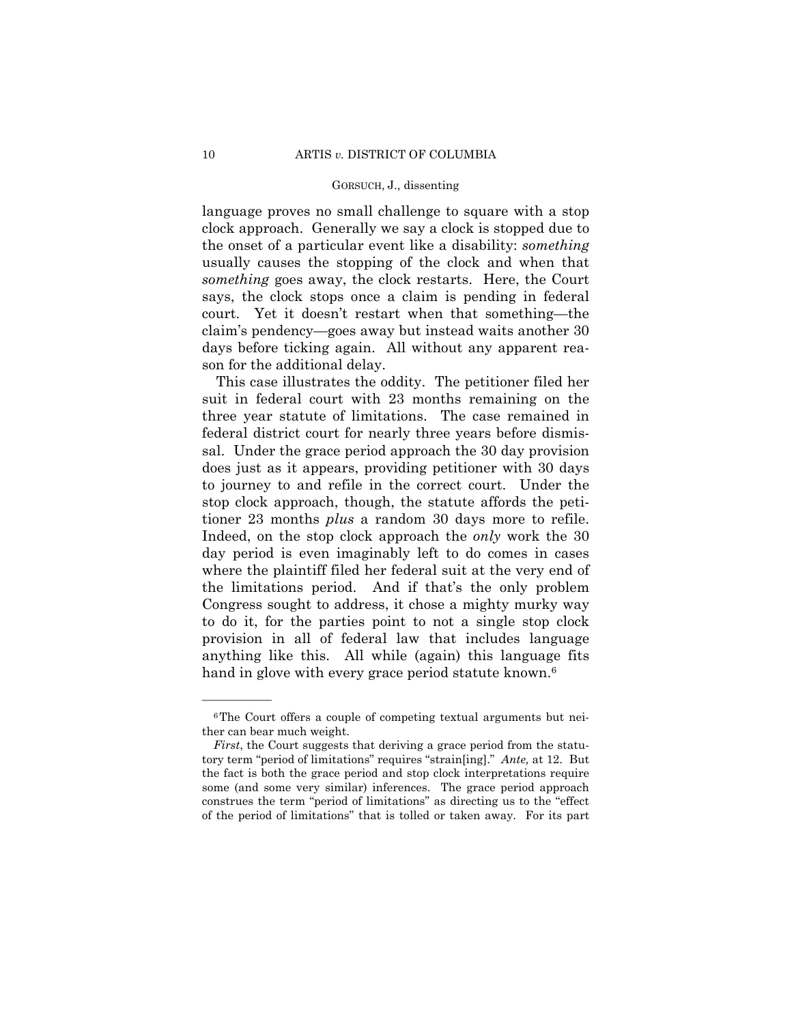language proves no small challenge to square with a stop clock approach. Generally we say a clock is stopped due to the onset of a particular event like a disability: *something* usually causes the stopping of the clock and when that *something* goes away, the clock restarts. Here, the Court says, the clock stops once a claim is pending in federal court. Yet it doesn't restart when that something—the claim's pendency—goes away but instead waits another 30 days before ticking again. All without any apparent reason for the additional delay.

 tioner 23 months *plus* a random 30 days more to refile. This case illustrates the oddity. The petitioner filed her suit in federal court with 23 months remaining on the three year statute of limitations. The case remained in federal district court for nearly three years before dismissal. Under the grace period approach the 30 day provision does just as it appears, providing petitioner with 30 days to journey to and refile in the correct court. Under the stop clock approach, though, the statute affords the peti-Indeed, on the stop clock approach the *only* work the 30 day period is even imaginably left to do comes in cases where the plaintiff filed her federal suit at the very end of the limitations period. And if that's the only problem Congress sought to address, it chose a mighty murky way to do it, for the parties point to not a single stop clock provision in all of federal law that includes language anything like this. All while (again) this language fits hand in glove with every grace period statute known.<sup>6</sup>

<sup>6</sup>The Court offers a couple of competing textual arguments but neither can bear much weight.

*First*, the Court suggests that deriving a grace period from the statutory term "period of limitations" requires "strain[ing]." *Ante,* at 12. But the fact is both the grace period and stop clock interpretations require some (and some very similar) inferences. The grace period approach construes the term "period of limitations" as directing us to the "effect of the period of limitations" that is tolled or taken away. For its part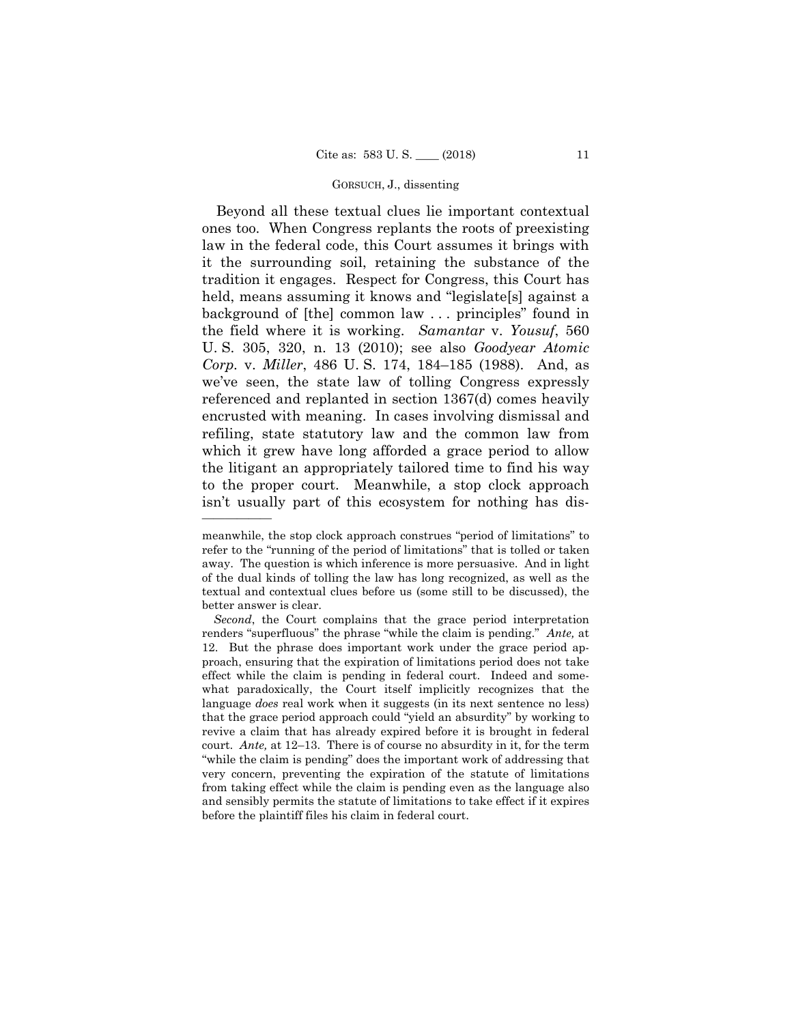Beyond all these textual clues lie important contextual ones too. When Congress replants the roots of preexisting law in the federal code, this Court assumes it brings with it the surrounding soil, retaining the substance of the tradition it engages. Respect for Congress, this Court has held, means assuming it knows and "legislate[s] against a background of [the] common law . . . principles" found in the field where it is working. *Samantar* v. *Yousuf*, 560 U. S. 305, 320, n. 13 (2010); see also *Goodyear Atomic Corp.* v. *Miller*, 486 U. S. 174, 184–185 (1988). And, as we've seen, the state law of tolling Congress expressly referenced and replanted in section 1367(d) comes heavily encrusted with meaning. In cases involving dismissal and refiling, state statutory law and the common law from which it grew have long afforded a grace period to allow the litigant an appropriately tailored time to find his way to the proper court. Meanwhile, a stop clock approach isn't usually part of this ecosystem for nothing has dis-

meanwhile, the stop clock approach construes "period of limitations" to refer to the "running of the period of limitations" that is tolled or taken away. The question is which inference is more persuasive. And in light of the dual kinds of tolling the law has long recognized, as well as the textual and contextual clues before us (some still to be discussed), the better answer is clear.

 court. *Ante,* at 12–13. There is of course no absurdity in it, for the term *Second*, the Court complains that the grace period interpretation renders "superfluous" the phrase "while the claim is pending." *Ante,* at 12. But the phrase does important work under the grace period approach, ensuring that the expiration of limitations period does not take effect while the claim is pending in federal court. Indeed and somewhat paradoxically, the Court itself implicitly recognizes that the language *does* real work when it suggests (in its next sentence no less) that the grace period approach could "yield an absurdity" by working to revive a claim that has already expired before it is brought in federal "while the claim is pending" does the important work of addressing that very concern, preventing the expiration of the statute of limitations from taking effect while the claim is pending even as the language also and sensibly permits the statute of limitations to take effect if it expires before the plaintiff files his claim in federal court.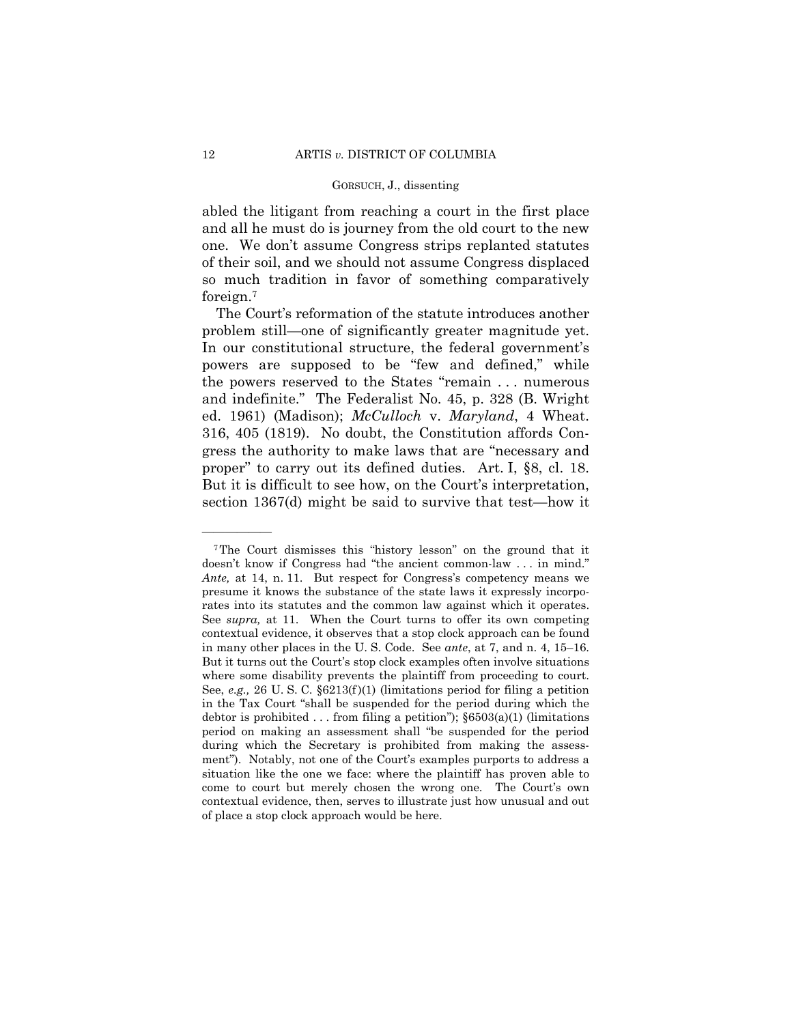abled the litigant from reaching a court in the first place and all he must do is journey from the old court to the new one. We don't assume Congress strips replanted statutes of their soil, and we should not assume Congress displaced so much tradition in favor of something comparatively foreign.7

The Court's reformation of the statute introduces another problem still—one of significantly greater magnitude yet. In our constitutional structure, the federal government's powers are supposed to be "few and defined," while the powers reserved to the States "remain . . . numerous and indefinite." The Federalist No. 45, p. 328 (B. Wright ed. 1961) (Madison); *McCulloch* v. *Maryland*, 4 Wheat. 316, 405 (1819). No doubt, the Constitution affords Congress the authority to make laws that are "necessary and proper" to carry out its defined duties. Art. I, §8, cl. 18. But it is difficult to see how, on the Court's interpretation, section 1367(d) might be said to survive that test—how it

 7The Court dismisses this "history lesson" on the ground that it doesn't know if Congress had "the ancient common-law . . . in mind." *Ante,* at 14, n. 11. But respect for Congress's competency means we presume it knows the substance of the state laws it expressly incorporates into its statutes and the common law against which it operates. See *supra,* at 11. When the Court turns to offer its own competing contextual evidence, it observes that a stop clock approach can be found in many other places in the U. S. Code. See *ante*, at 7, and n. 4, 15–16. But it turns out the Court's stop clock examples often involve situations where some disability prevents the plaintiff from proceeding to court. See, *e.g.*, 26 U.S.C.  $\S6213(f)(1)$  (limitations period for filing a petition in the Tax Court "shall be suspended for the period during which the debtor is prohibited . . . from filing a petition");  $\S6503(a)(1)$  (limitations period on making an assessment shall "be suspended for the period during which the Secretary is prohibited from making the assessment"). Notably, not one of the Court's examples purports to address a situation like the one we face: where the plaintiff has proven able to come to court but merely chosen the wrong one. The Court's own contextual evidence, then, serves to illustrate just how unusual and out of place a stop clock approach would be here.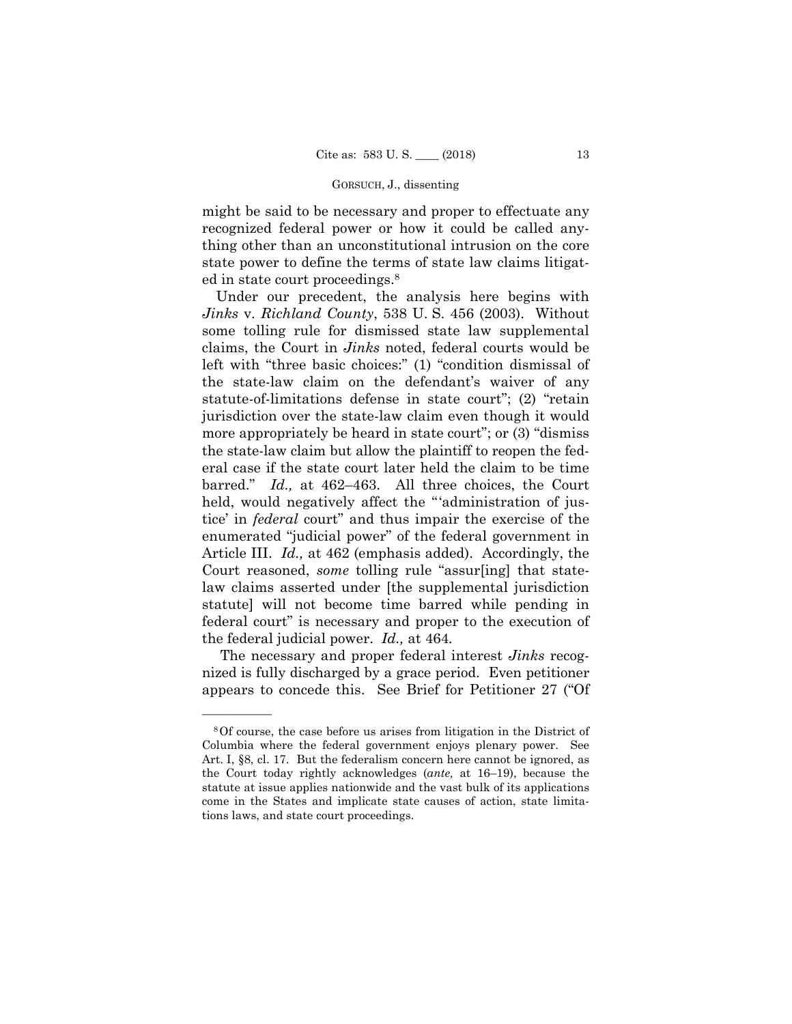might be said to be necessary and proper to effectuate any recognized federal power or how it could be called anything other than an unconstitutional intrusion on the core state power to define the terms of state law claims litigated in state court proceedings.8

Under our precedent, the analysis here begins with *Jinks* v. *Richland County*, 538 U. S. 456 (2003). Without some tolling rule for dismissed state law supplemental claims, the Court in *Jinks* noted, federal courts would be left with "three basic choices:" (1) "condition dismissal of the state-law claim on the defendant's waiver of any statute-of-limitations defense in state court"; (2) "retain jurisdiction over the state-law claim even though it would more appropriately be heard in state court"; or (3) "dismiss the state-law claim but allow the plaintiff to reopen the federal case if the state court later held the claim to be time barred." *Id.,* at 462–463. All three choices, the Court held, would negatively affect the "'administration of justice' in *federal* court" and thus impair the exercise of the enumerated "judicial power" of the federal government in Article III. *Id.,* at 462 (emphasis added). Accordingly, the Court reasoned, *some* tolling rule "assur[ing] that statelaw claims asserted under [the supplemental jurisdiction statute] will not become time barred while pending in federal court" is necessary and proper to the execution of the federal judicial power. *Id.,* at 464*.* 

The necessary and proper federal interest *Jinks* recognized is fully discharged by a grace period. Even petitioner appears to concede this. See Brief for Petitioner 27 ("Of

<sup>8</sup>Of course, the case before us arises from litigation in the District of Columbia where the federal government enjoys plenary power. See Art. I, §8, cl. 17. But the federalism concern here cannot be ignored, as the Court today rightly acknowledges (*ante,* at 16–19), because the statute at issue applies nationwide and the vast bulk of its applications come in the States and implicate state causes of action, state limitations laws, and state court proceedings.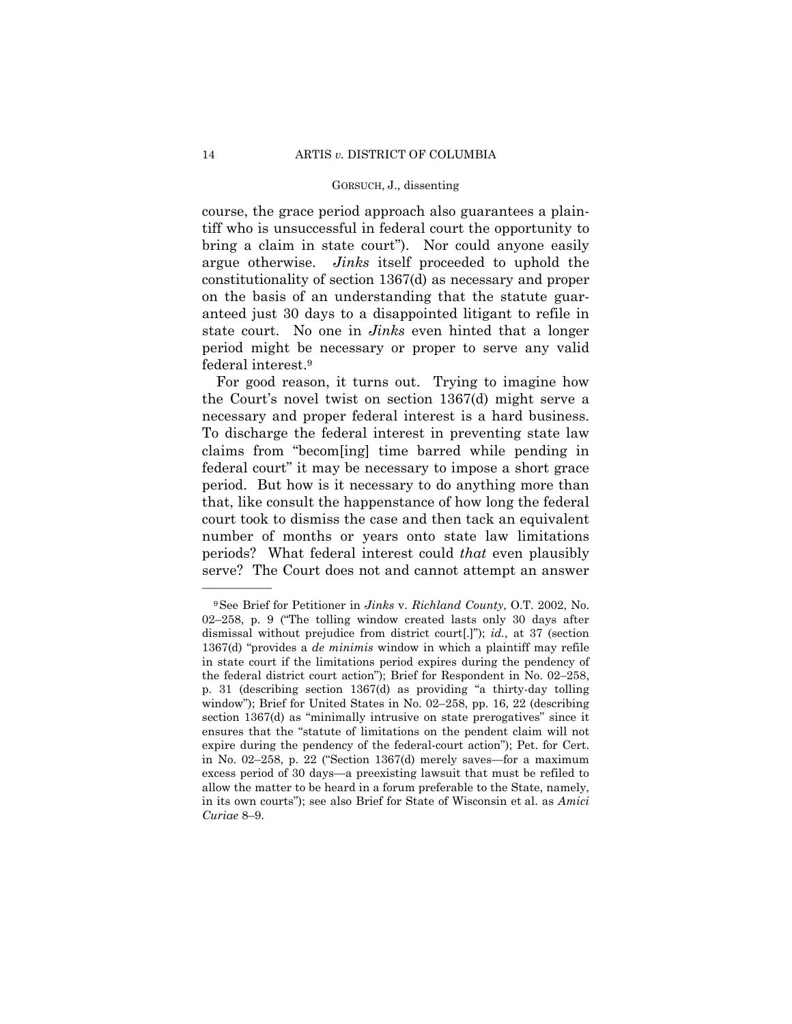bring a claim in state court"). Nor could anyone easily course, the grace period approach also guarantees a plaintiff who is unsuccessful in federal court the opportunity to argue otherwise. *Jinks* itself proceeded to uphold the constitutionality of section 1367(d) as necessary and proper on the basis of an understanding that the statute guaranteed just 30 days to a disappointed litigant to refile in state court. No one in *Jinks* even hinted that a longer period might be necessary or proper to serve any valid federal interest.9

For good reason, it turns out. Trying to imagine how the Court's novel twist on section 1367(d) might serve a necessary and proper federal interest is a hard business. To discharge the federal interest in preventing state law claims from "becom[ing] time barred while pending in federal court" it may be necessary to impose a short grace period. But how is it necessary to do anything more than that, like consult the happenstance of how long the federal court took to dismiss the case and then tack an equivalent number of months or years onto state law limitations periods? What federal interest could *that* even plausibly serve? The Court does not and cannot attempt an answer

<sup>9</sup>See Brief for Petitioner in *Jinks* v. *Richland County*, O.T. 2002, No. 02–258, p. 9 ("The tolling window created lasts only 30 days after dismissal without prejudice from district court[.]"); *id.*, at 37 (section 1367(d) "provides a *de minimis* window in which a plaintiff may refile in state court if the limitations period expires during the pendency of the federal district court action"); Brief for Respondent in No. 02–258, p. 31 (describing section 1367(d) as providing "a thirty-day tolling window"); Brief for United States in No. 02–258, pp. 16, 22 (describing section 1367(d) as "minimally intrusive on state prerogatives" since it ensures that the "statute of limitations on the pendent claim will not expire during the pendency of the federal-court action"); Pet. for Cert. in No. 02–258, p. 22 ("Section 1367(d) merely saves—for a maximum excess period of 30 days—a preexisting lawsuit that must be refiled to allow the matter to be heard in a forum preferable to the State, namely, in its own courts"); see also Brief for State of Wisconsin et al. as *Amici Curiae* 8–9.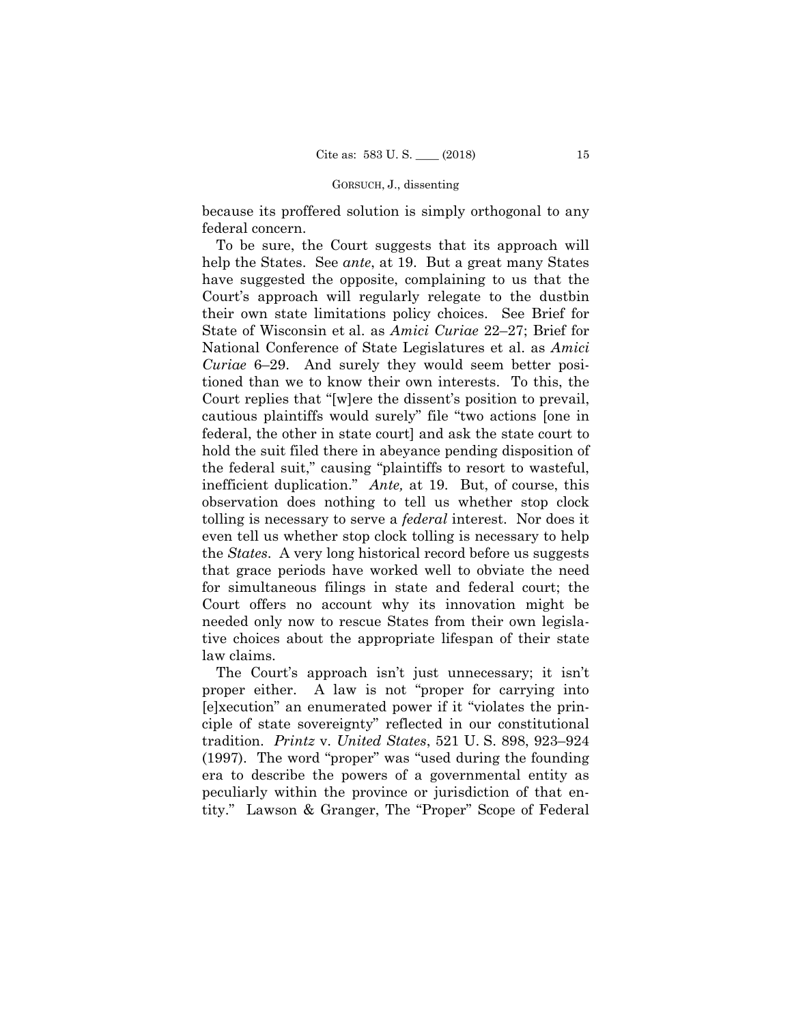because its proffered solution is simply orthogonal to any federal concern.

To be sure, the Court suggests that its approach will help the States. See *ante*, at 19. But a great many States have suggested the opposite, complaining to us that the Court's approach will regularly relegate to the dustbin their own state limitations policy choices. See Brief for State of Wisconsin et al. as *Amici Curiae* 22–27; Brief for National Conference of State Legislatures et al. as *Amici Curiae* 6–29. And surely they would seem better positioned than we to know their own interests. To this, the Court replies that "[w]ere the dissent's position to prevail, cautious plaintiffs would surely" file "two actions [one in federal, the other in state court] and ask the state court to hold the suit filed there in abeyance pending disposition of the federal suit," causing "plaintiffs to resort to wasteful, inefficient duplication." *Ante,* at 19. But, of course, this observation does nothing to tell us whether stop clock tolling is necessary to serve a *federal* interest. Nor does it even tell us whether stop clock tolling is necessary to help the *States*. A very long historical record before us suggests that grace periods have worked well to obviate the need for simultaneous filings in state and federal court; the Court offers no account why its innovation might be needed only now to rescue States from their own legislative choices about the appropriate lifespan of their state law claims.

The Court's approach isn't just unnecessary; it isn't proper either. A law is not "proper for carrying into [e]xecution" an enumerated power if it "violates the principle of state sovereignty" reflected in our constitutional tradition. *Printz* v. *United States*, 521 U. S. 898, 923–924 (1997). The word "proper" was "used during the founding era to describe the powers of a governmental entity as peculiarly within the province or jurisdiction of that entity." Lawson & Granger, The "Proper" Scope of Federal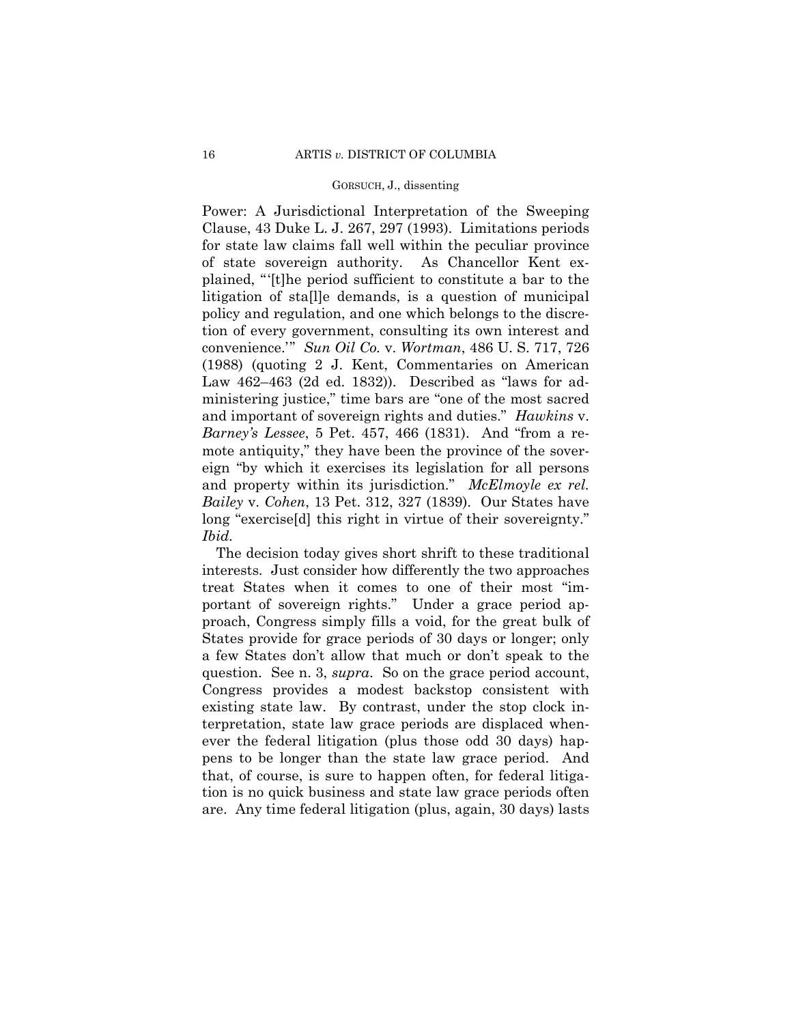Power: A Jurisdictional Interpretation of the Sweeping Clause, 43 Duke L. J. 267, 297 (1993). Limitations periods for state law claims fall well within the peculiar province of state sovereign authority. As Chancellor Kent explained, "'[t]he period sufficient to constitute a bar to the litigation of sta[l]e demands, is a question of municipal policy and regulation, and one which belongs to the discretion of every government, consulting its own interest and convenience.'" *Sun Oil Co.* v. *Wortman*, 486 U. S. 717, 726 (1988) (quoting 2 J. Kent, Commentaries on American Law 462–463 (2d ed. 1832)). Described as "laws for administering justice," time bars are "one of the most sacred and important of sovereign rights and duties." *Hawkins* v. *Barney's Lessee*, 5 Pet. 457, 466 (1831). And "from a remote antiquity," they have been the province of the sovereign "by which it exercises its legislation for all persons and property within its jurisdiction." *McElmoyle ex rel. Bailey* v. *Cohen*, 13 Pet. 312, 327 (1839). Our States have long "exercise[d] this right in virtue of their sovereignty." *Ibid.* 

The decision today gives short shrift to these traditional interests. Just consider how differently the two approaches treat States when it comes to one of their most "important of sovereign rights." Under a grace period approach, Congress simply fills a void, for the great bulk of States provide for grace periods of 30 days or longer; only a few States don't allow that much or don't speak to the question. See n. 3, *supra*. So on the grace period account, Congress provides a modest backstop consistent with existing state law. By contrast, under the stop clock interpretation, state law grace periods are displaced whenever the federal litigation (plus those odd 30 days) happens to be longer than the state law grace period. And that, of course, is sure to happen often, for federal litigation is no quick business and state law grace periods often are. Any time federal litigation (plus, again, 30 days) lasts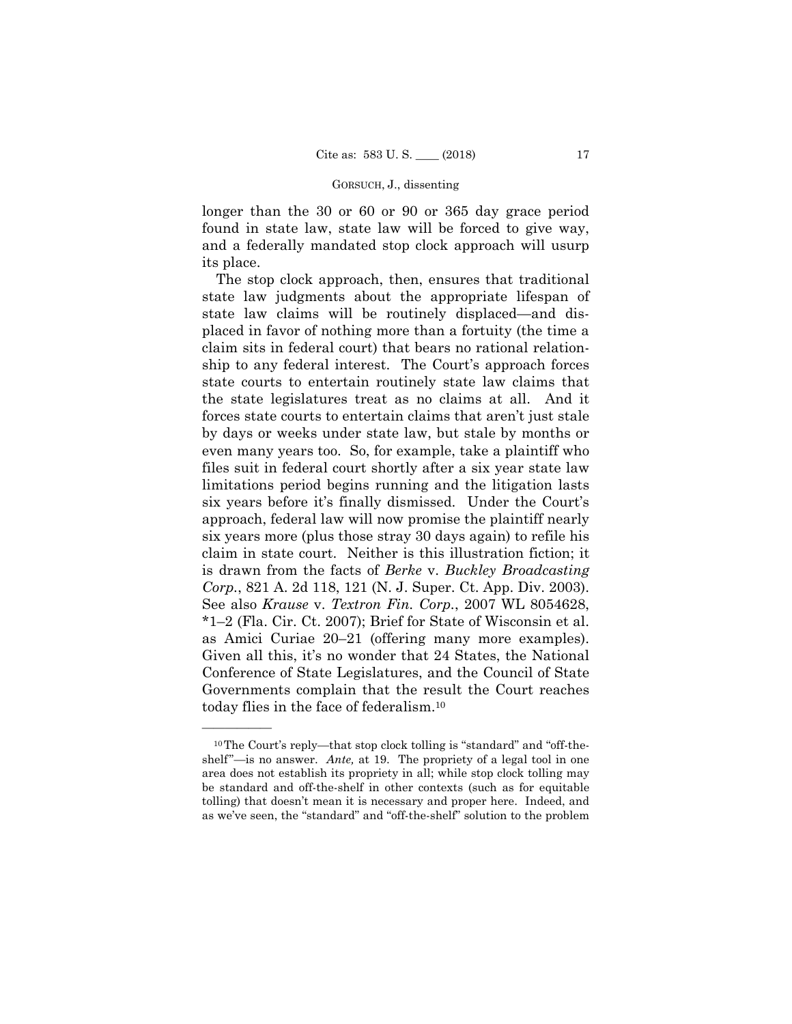longer than the 30 or 60 or 90 or 365 day grace period found in state law, state law will be forced to give way, and a federally mandated stop clock approach will usurp its place.

The stop clock approach, then, ensures that traditional state law judgments about the appropriate lifespan of state law claims will be routinely displaced—and displaced in favor of nothing more than a fortuity (the time a claim sits in federal court) that bears no rational relationship to any federal interest. The Court's approach forces state courts to entertain routinely state law claims that the state legislatures treat as no claims at all. And it forces state courts to entertain claims that aren't just stale by days or weeks under state law, but stale by months or even many years too. So, for example, take a plaintiff who files suit in federal court shortly after a six year state law limitations period begins running and the litigation lasts six years before it's finally dismissed. Under the Court's approach, federal law will now promise the plaintiff nearly six years more (plus those stray 30 days again) to refile his claim in state court. Neither is this illustration fiction; it is drawn from the facts of *Berke* v. *Buckley Broadcasting Corp.*, 821 A. 2d 118, 121 (N. J. Super. Ct. App. Div. 2003). See also *Krause* v. *Textron Fin. Corp.*, 2007 WL 8054628, \*1–2 (Fla. Cir. Ct. 2007); Brief for State of Wisconsin et al. as Amici Curiae 20–21 (offering many more examples). Given all this, it's no wonder that 24 States, the National Conference of State Legislatures, and the Council of State Governments complain that the result the Court reaches today flies in the face of federalism.10

<sup>10</sup>The Court's reply—that stop clock tolling is "standard" and "off-theshelf"—is no answer. *Ante,* at 19. The propriety of a legal tool in one area does not establish its propriety in all; while stop clock tolling may be standard and off-the-shelf in other contexts (such as for equitable tolling) that doesn't mean it is necessary and proper here. Indeed, and as we've seen, the "standard" and "off-the-shelf" solution to the problem